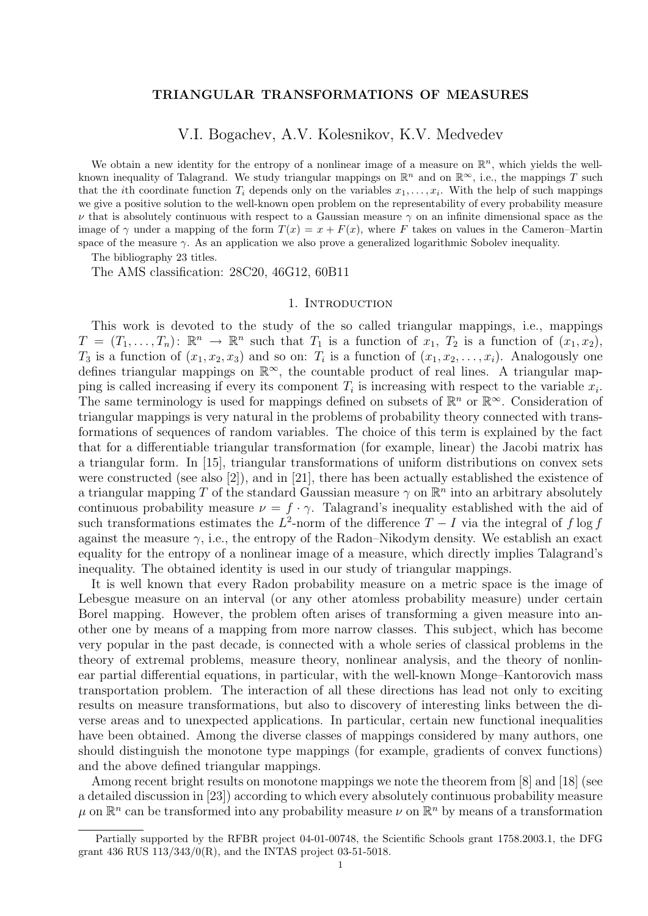## TRIANGULAR TRANSFORMATIONS OF MEASURES

# V.I. Bogachev, A.V. Kolesnikov, K.V. Medvedev

We obtain a new identity for the entropy of a nonlinear image of a measure on  $\mathbb{R}^n$ , which yields the wellknown inequality of Talagrand. We study triangular mappings on  $\mathbb{R}^n$  and on  $\mathbb{R}^\infty$ , i.e., the mappings T such that the *i*th coordinate function  $T_i$  depends only on the variables  $x_1, \ldots, x_i$ . With the help of such mappings we give a positive solution to the well-known open problem on the representability of every probability measure  $\nu$  that is absolutely continuous with respect to a Gaussian measure  $\gamma$  on an infinite dimensional space as the image of  $\gamma$  under a mapping of the form  $T(x) = x + F(x)$ , where F takes on values in the Cameron–Martin space of the measure  $\gamma$ . As an application we also prove a generalized logarithmic Sobolev inequality.

The bibliography 23 titles.

The AMS classification: 28C20, 46G12, 60B11

# 1. INTRODUCTION

This work is devoted to the study of the so called triangular mappings, i.e., mappings  $T = (T_1, \ldots, T_n)$ :  $\mathbb{R}^n \to \mathbb{R}^n$  such that  $T_1$  is a function of  $x_1, T_2$  is a function of  $(x_1, x_2)$ ,  $T_3$  is a function of  $(x_1, x_2, x_3)$  and so on:  $T_i$  is a function of  $(x_1, x_2, \ldots, x_i)$ . Analogously one defines triangular mappings on ℝ<sup>∞</sup>, the countable product of real lines. A triangular mapping is called increasing if every its component  $T_i$  is increasing with respect to the variable  $x_i$ . The same terminology is used for mappings defined on subsets of  $\mathbb{R}^n$  or  $\mathbb{R}^\infty$ . Consideration of triangular mappings is very natural in the problems of probability theory connected with transformations of sequences of random variables. The choice of this term is explained by the fact that for a differentiable triangular transformation (for example, linear) the Jacobi matrix has a triangular form. In [15], triangular transformations of uniform distributions on convex sets were constructed (see also [2]), and in [21], there has been actually established the existence of a triangular mapping T of the standard Gaussian measure  $\gamma$  on  $\mathbb{R}^n$  into an arbitrary absolutely continuous probability measure  $\nu = f \cdot \gamma$ . Talagrand's inequality established with the aid of such transformations estimates the  $L^2$ -norm of the difference  $T - I$  via the integral of  $f \log f$ against the measure  $\gamma$ , i.e., the entropy of the Radon–Nikodym density. We establish an exact equality for the entropy of a nonlinear image of a measure, which directly implies Talagrand's inequality. The obtained identity is used in our study of triangular mappings.

It is well known that every Radon probability measure on a metric space is the image of Lebesgue measure on an interval (or any other atomless probability measure) under certain Borel mapping. However, the problem often arises of transforming a given measure into another one by means of a mapping from more narrow classes. This subject, which has become very popular in the past decade, is connected with a whole series of classical problems in the theory of extremal problems, measure theory, nonlinear analysis, and the theory of nonlinear partial differential equations, in particular, with the well-known Monge–Kantorovich mass transportation problem. The interaction of all these directions has lead not only to exciting results on measure transformations, but also to discovery of interesting links between the diverse areas and to unexpected applications. In particular, certain new functional inequalities have been obtained. Among the diverse classes of mappings considered by many authors, one should distinguish the monotone type mappings (for example, gradients of convex functions) and the above defined triangular mappings.

Among recent bright results on monotone mappings we note the theorem from [8] and [18] (see a detailed discussion in [23]) according to which every absolutely continuous probability measure  $\mu$  on  $\mathbb{R}^n$  can be transformed into any probability measure  $\nu$  on  $\mathbb{R}^n$  by means of a transformation

Partially supported by the RFBR project 04-01-00748, the Scientific Schools grant 1758.2003.1, the DFG grant 436 RUS 113/343/0(R), and the INTAS project 03-51-5018.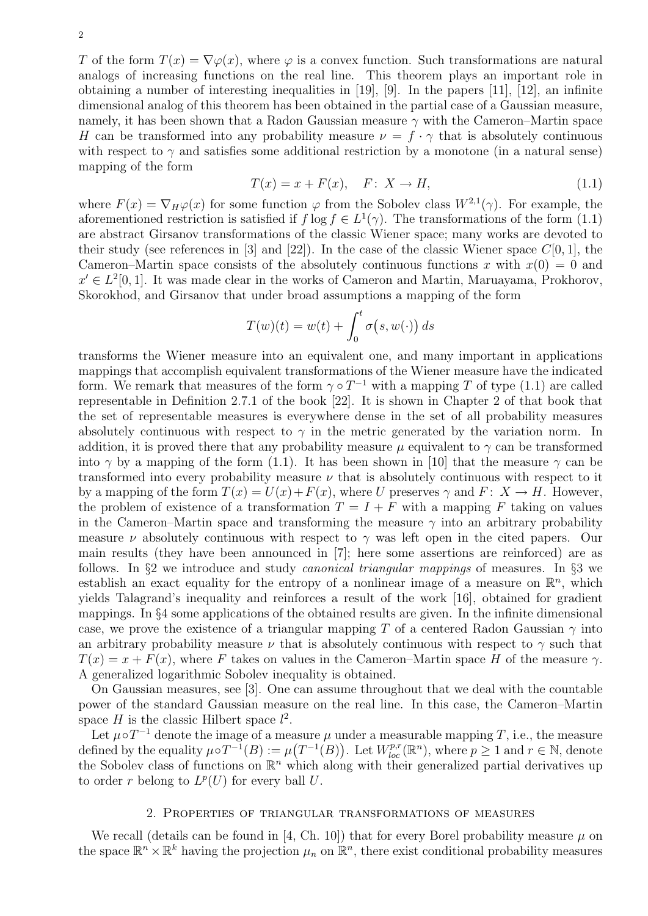T of the form  $T(x) = \nabla \varphi(x)$ , where  $\varphi$  is a convex function. Such transformations are natural analogs of increasing functions on the real line. This theorem plays an important role in obtaining a number of interesting inequalities in [19], [9]. In the papers [11], [12], an infinite dimensional analog of this theorem has been obtained in the partial case of a Gaussian measure, namely, it has been shown that a Radon Gaussian measure  $\gamma$  with the Cameron–Martin space H can be transformed into any probability measure  $\nu = f \cdot \gamma$  that is absolutely continuous with respect to  $\gamma$  and satisfies some additional restriction by a monotone (in a natural sense) mapping of the form

$$
T(x) = x + F(x), \quad F: X \to H,
$$
\n
$$
(1.1)
$$

where  $F(x) = \nabla_H \varphi(x)$  for some function  $\varphi$  from the Sobolev class  $W^{2,1}(\gamma)$ . For example, the aforementioned restriction is satisfied if  $f \log f \in L^1(\gamma)$ . The transformations of the form (1.1) are abstract Girsanov transformations of the classic Wiener space; many works are devoted to their study (see references in [3] and [22]). In the case of the classic Wiener space  $C[0, 1]$ , the Cameron–Martin space consists of the absolutely continuous functions x with  $x(0) = 0$  and  $x' \in L^2[0,1]$ . It was made clear in the works of Cameron and Martin, Maruayama, Prokhorov, Skorokhod, and Girsanov that under broad assumptions a mapping of the form

$$
T(w)(t) = w(t) + \int_0^t \sigma(s, w(\cdot)) ds
$$

transforms the Wiener measure into an equivalent one, and many important in applications mappings that accomplish equivalent transformations of the Wiener measure have the indicated form. We remark that measures of the form  $\gamma \circ T^{-1}$  with a mapping T of type (1.1) are called representable in Definition 2.7.1 of the book [22]. It is shown in Chapter 2 of that book that the set of representable measures is everywhere dense in the set of all probability measures absolutely continuous with respect to  $\gamma$  in the metric generated by the variation norm. In addition, it is proved there that any probability measure  $\mu$  equivalent to  $\gamma$  can be transformed into  $\gamma$  by a mapping of the form (1.1). It has been shown in [10] that the measure  $\gamma$  can be transformed into every probability measure  $\nu$  that is absolutely continuous with respect to it by a mapping of the form  $T(x) = U(x) + F(x)$ , where U preserves  $\gamma$  and  $F: X \to H$ . However, the problem of existence of a transformation  $T = I + F$  with a mapping F taking on values in the Cameron–Martin space and transforming the measure  $\gamma$  into an arbitrary probability measure  $\nu$  absolutely continuous with respect to  $\gamma$  was left open in the cited papers. Our main results (they have been announced in [7]; here some assertions are reinforced) are as follows. In §2 we introduce and study canonical triangular mappings of measures. In §3 we establish an exact equality for the entropy of a nonlinear image of a measure on  $\mathbb{R}^n$ , which yields Talagrand's inequality and reinforces a result of the work [16], obtained for gradient mappings. In §4 some applications of the obtained results are given. In the infinite dimensional case, we prove the existence of a triangular mapping T of a centered Radon Gaussian  $\gamma$  into an arbitrary probability measure  $\nu$  that is absolutely continuous with respect to  $\gamma$  such that  $T(x) = x + F(x)$ , where F takes on values in the Cameron–Martin space H of the measure  $\gamma$ . A generalized logarithmic Sobolev inequality is obtained.

On Gaussian measures, see [3]. One can assume throughout that we deal with the countable power of the standard Gaussian measure on the real line. In this case, the Cameron–Martin space  $H$  is the classic Hilbert space  $l^2$ .

Let  $\mu \circ T^{-1}$  denote the image of a measure  $\mu$  under a measurable mapping T, i.e., the measure defined by the equality  $\mu \circ T^{-1}(B) := \mu(T^{-1}(B))$ . Let  $W_{loc}^{p,r}(\mathbb{R}^n)$ , where  $p \geq 1$  and  $r \in \mathbb{N}$ , denote the Sobolev class of functions on  $\mathbb{R}^n$  which along with their generalized partial derivatives up to order r belong to  $L^p(U)$  for every ball U.

#### 2. Properties of triangular transformations of measures

We recall (details can be found in [4, Ch. 10]) that for every Borel probability measure  $\mu$  on the space  $\mathbb{R}^n \times \mathbb{R}^k$  having the projection  $\mu_n$  on  $\mathbb{R}^n$ , there exist conditional probability measures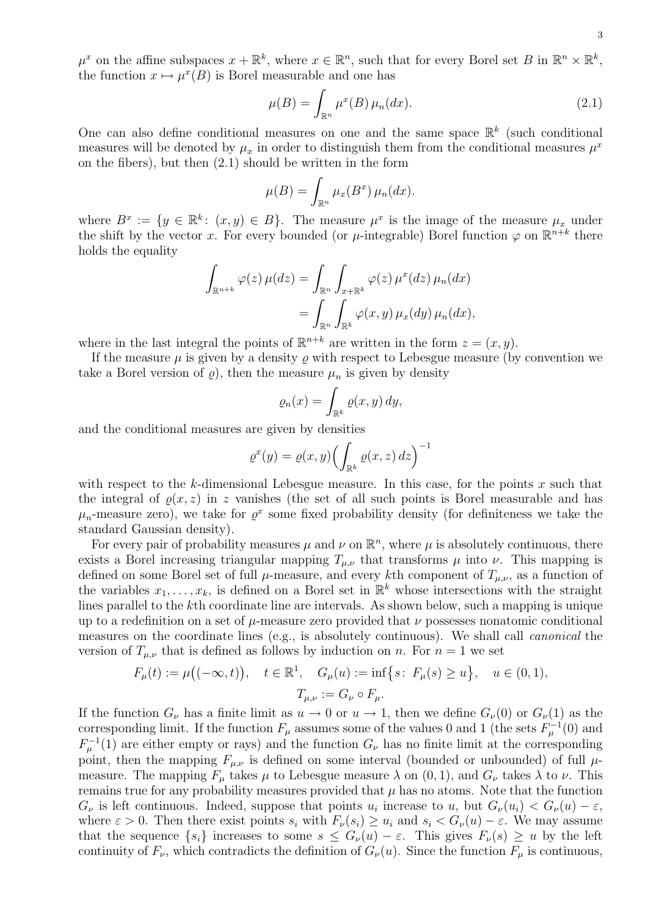$\mu^x$  on the affine subspaces  $x + \mathbb{R}^k$ , where  $x \in \mathbb{R}^n$ , such that for every Borel set B in  $\mathbb{R}^n \times \mathbb{R}^k$ , the function  $x \mapsto \mu^x(B)$  is Borel measurable and one has

$$
\mu(B) = \int_{\mathbb{R}^n} \mu^x(B) \,\mu_n(dx). \tag{2.1}
$$

One can also define conditional measures on one and the same space  $\mathbb{R}^k$  (such conditional measures will be denoted by  $\mu_x$  in order to distinguish them from the conditional measures  $\mu^x$ on the fibers), but then (2.1) should be written in the form

$$
\mu(B) = \int_{\mathbb{R}^n} \mu_x(B^x) \,\mu_n(dx).
$$

where  $B^x := \{y \in \mathbb{R}^k : (x, y) \in B\}$ . The measure  $\mu^x$  is the image of the measure  $\mu_x$  under the shift by the vector x. For every bounded (or  $\mu$ -integrable) Borel function  $\varphi$  on  $\mathbb{R}^{n+k}$  there holds the equality

$$
\int_{\mathbb{R}^{n+k}} \varphi(z) \,\mu(dz) = \int_{\mathbb{R}^n} \int_{x+\mathbb{R}^k} \varphi(z) \,\mu^x(dz) \,\mu_n(dx) \n= \int_{\mathbb{R}^n} \int_{\mathbb{R}^k} \varphi(x,y) \,\mu_x(dy) \,\mu_n(dx),
$$

where in the last integral the points of  $\mathbb{R}^{n+k}$  are written in the form  $z = (x, y)$ .

If the measure  $\mu$  is given by a density  $\rho$  with respect to Lebesgue measure (by convention we take a Borel version of  $\rho$ , then the measure  $\mu_n$  is given by density

$$
\varrho_n(x) = \int_{\mathbb{R}^k} \varrho(x, y) \, dy,
$$

and the conditional measures are given by densities

$$
\varrho^x(y) = \varrho(x, y) \Bigl( \int_{\mathbb{R}^k} \varrho(x, z) \, dz \Bigr)^{-1}
$$

with respect to the k-dimensional Lebesgue measure. In this case, for the points  $x$  such that the integral of  $\rho(x, z)$  in z vanishes (the set of all such points is Borel measurable and has  $\mu_n$ -measure zero), we take for  $\varrho^x$  some fixed probability density (for definiteness we take the standard Gaussian density).

For every pair of probability measures  $\mu$  and  $\nu$  on  $\mathbb{R}^n$ , where  $\mu$  is absolutely continuous, there exists a Borel increasing triangular mapping  $T_{\mu,\nu}$  that transforms  $\mu$  into  $\nu$ . This mapping is defined on some Borel set of full  $\mu$ -measure, and every kth component of  $T_{\mu,\nu}$ , as a function of the variables  $x_1, \ldots, x_k$ , is defined on a Borel set in  $\mathbb{R}^k$  whose intersections with the straight lines parallel to the kth coordinate line are intervals. As shown below, such a mapping is unique up to a redefinition on a set of  $\mu$ -measure zero provided that  $\nu$  possesses nonatomic conditional measures on the coordinate lines (e.g., is absolutely continuous). We shall call canonical the version of  $T_{\mu,\nu}$  that is defined as follows by induction on n. For  $n = 1$  we set

$$
F_{\mu}(t) := \mu((-\infty, t)), \quad t \in \mathbb{R}^{1}, \quad G_{\mu}(u) := \inf\big\{s \colon F_{\mu}(s) \ge u\big\}, \quad u \in (0, 1),
$$

$$
T_{\mu, \nu} := G_{\nu} \circ F_{\mu}.
$$

If the function  $G_{\nu}$  has a finite limit as  $u \to 0$  or  $u \to 1$ , then we define  $G_{\nu}(0)$  or  $G_{\nu}(1)$  as the corresponding limit. If the function  $F_{\mu}$  assumes some of the values 0 and 1 (the sets  $F_{\mu}^{-1}(0)$  and  $F_{\mu}^{-1}(1)$  are either empty or rays) and the function  $G_{\nu}$  has no finite limit at the corresponding point, then the mapping  $F_{\mu,\nu}$  is defined on some interval (bounded or unbounded) of full  $\mu$ measure. The mapping  $F_{\mu}$  takes  $\mu$  to Lebesgue measure  $\lambda$  on  $(0, 1)$ , and  $G_{\nu}$  takes  $\lambda$  to  $\nu$ . This remains true for any probability measures provided that  $\mu$  has no atoms. Note that the function  $G_{\nu}$  is left continuous. Indeed, suppose that points  $u_i$  increase to  $u$ , but  $G_{\nu}(u_i) < G_{\nu}(u) - \varepsilon$ , where  $\varepsilon > 0$ . Then there exist points  $s_i$  with  $F_{\nu}(s_i) \geq u_i$  and  $s_i < G_{\nu}(u) - \varepsilon$ . We may assume that the sequence  $\{s_i\}$  increases to some  $s \leq G_\nu(u) - \varepsilon$ . This gives  $F_\nu(s) \geq u$  by the left continuity of  $F_{\nu}$ , which contradicts the definition of  $G_{\nu}(u)$ . Since the function  $F_{\mu}$  is continuous,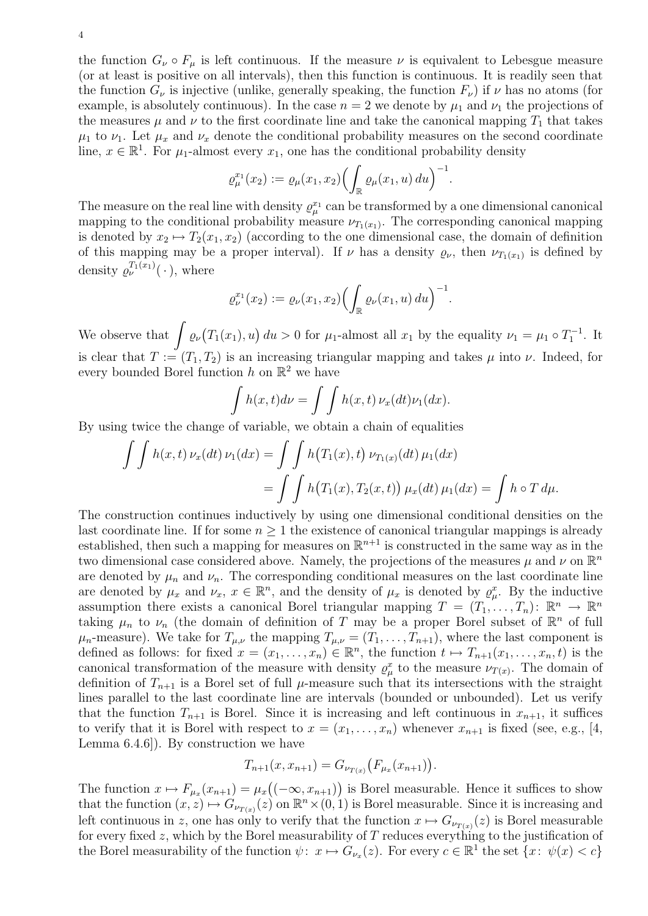the function  $G_{\nu} \circ F_{\mu}$  is left continuous. If the measure  $\nu$  is equivalent to Lebesgue measure (or at least is positive on all intervals), then this function is continuous. It is readily seen that the function  $G_{\nu}$  is injective (unlike, generally speaking, the function  $F_{\nu}$ ) if  $\nu$  has no atoms (for example, is absolutely continuous). In the case  $n = 2$  we denote by  $\mu_1$  and  $\nu_1$  the projections of the measures  $\mu$  and  $\nu$  to the first coordinate line and take the canonical mapping  $T_1$  that takes  $\mu_1$  to  $\nu_1$ . Let  $\mu_x$  and  $\nu_x$  denote the conditional probability measures on the second coordinate line,  $x \in \mathbb{R}^1$ . For  $\mu_1$ -almost every  $x_1$ , one has the conditional probability density

$$
\varrho_{\mu}^{x_1}(x_2) := \varrho_{\mu}(x_1, x_2) \Bigl( \int_{\mathbb{R}} \varrho_{\mu}(x_1, u) \, du \Bigr)^{-1}.
$$

The measure on the real line with density  $\varrho_\mu^{x_1}$  can be transformed by a one dimensional canonical mapping to the conditional probability measure  $\nu_{T_1(x_1)}$ . The corresponding canonical mapping is denoted by  $x_2 \mapsto T_2(x_1, x_2)$  (according to the one dimensional case, the domain of definition of this mapping may be a proper interval). If  $\nu$  has a density  $\rho_{\nu}$ , then  $\nu_{T_1(x_1)}$  is defined by density  $\varrho_{\nu}^{T_1(x_1)}(\cdot)$ , where

$$
\varrho_{\nu}^{x_1}(x_2) := \varrho_{\nu}(x_1, x_2) \Bigl( \int_{\mathbb{R}} \varrho_{\nu}(x_1, u) \, du \Bigr)^{-1}.
$$

We observe that  $\int \varrho_{\nu}(T_1(x_1), u) du > 0$  for  $\mu_1$ -almost all  $x_1$  by the equality  $\nu_1 = \mu_1 \circ T_1^{-1}$ . It is clear that  $T := (T_1, T_2)$  is an increasing triangular mapping and takes  $\mu$  into  $\nu$ . Indeed, for every bounded Borel function  $h$  on  $\mathbb{R}^2$  we have

$$
\int h(x,t)d\nu = \int \int h(x,t)\,\nu_x(dt)\nu_1(dx).
$$

By using twice the change of variable, we obtain a chain of equalities

$$
\int \int h(x,t) \nu_x(dt) \nu_1(dx) = \int \int h(T_1(x),t) \nu_{T_1(x)}(dt) \mu_1(dx)
$$
  
= 
$$
\int \int h(T_1(x), T_2(x,t)) \mu_x(dt) \mu_1(dx) = \int h \circ T d\mu.
$$

The construction continues inductively by using one dimensional conditional densities on the last coordinate line. If for some  $n \geq 1$  the existence of canonical triangular mappings is already established, then such a mapping for measures on  $\mathbb{R}^{n+1}$  is constructed in the same way as in the two dimensional case considered above. Namely, the projections of the measures  $\mu$  and  $\nu$  on  $\mathbb{R}^n$ are denoted by  $\mu_n$  and  $\nu_n$ . The corresponding conditional measures on the last coordinate line are denoted by  $\mu_x$  and  $\nu_x$ ,  $x \in \mathbb{R}^n$ , and the density of  $\mu_x$  is denoted by  $\rho_x^x$ . By the inductive assumption there exists a canonical Borel triangular mapping  $T = (T_1, \ldots, T_n)$ :  $\mathbb{R}^n \to \mathbb{R}^n$ taking  $\mu_n$  to  $\nu_n$  (the domain of definition of T may be a proper Borel subset of  $\mathbb{R}^n$  of full  $\mu_n$ -measure). We take for  $T_{\mu,\nu}$  the mapping  $T_{\mu,\nu} = (T_1, \ldots, T_{n+1})$ , where the last component is defined as follows: for fixed  $x = (x_1, \ldots, x_n) \in \mathbb{R}^n$ , the function  $t \mapsto T_{n+1}(x_1, \ldots, x_n, t)$  is the canonical transformation of the measure with density  $\rho^x_\mu$  to the measure  $\nu_{T(x)}$ . The domain of definition of  $T_{n+1}$  is a Borel set of full  $\mu$ -measure such that its intersections with the straight lines parallel to the last coordinate line are intervals (bounded or unbounded). Let us verify that the function  $T_{n+1}$  is Borel. Since it is increasing and left continuous in  $x_{n+1}$ , it suffices to verify that it is Borel with respect to  $x = (x_1, \ldots, x_n)$  whenever  $x_{n+1}$  is fixed (see, e.g., [4, Lemma 6.4.6]). By construction we have

$$
T_{n+1}(x, x_{n+1}) = G_{\nu_{T(x)}}(F_{\mu_x}(x_{n+1})).
$$

The function  $x \mapsto F_{\mu_x}(x_{n+1}) = \mu_x((-\infty, x_{n+1}))$  is Borel measurable. Hence it suffices to show that the function  $(x, z) \mapsto G_{\nu_{T(x)}}(z)$  on  $\mathbb{R}^n \times (0, 1)$  is Borel measurable. Since it is increasing and left continuous in z, one has only to verify that the function  $x \mapsto G_{\nu_{T(x)}}(z)$  is Borel measurable for every fixed  $z$ , which by the Borel measurability of  $T$  reduces everything to the justification of the Borel measurability of the function  $\psi: x \mapsto G_{\nu_x}(z)$ . For every  $c \in \mathbb{R}^1$  the set  $\{x: \psi(x) < c\}$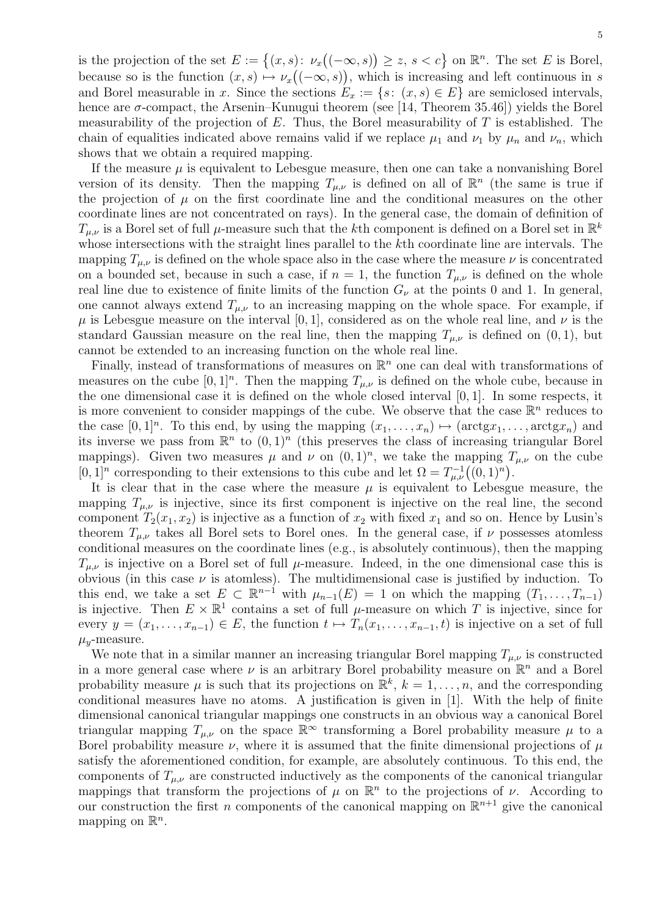5

is the projection of the set  $E := \{(x, s): \nu_x((-\infty, s)) \geq z, s < c\}$  on  $\mathbb{R}^n$ . The set E is Borel, because so is the function  $(x, s) \mapsto \nu_x((-\infty, s))$ , which is increasing and left continuous in s and Borel measurable in x. Since the sections  $E_x := \{s : (x, s) \in E\}$  are semiclosed intervals, hence are  $\sigma$ -compact, the Arsenin–Kunugui theorem (see [14, Theorem 35.46]) yields the Borel measurability of the projection of  $E$ . Thus, the Borel measurability of  $T$  is established. The chain of equalities indicated above remains valid if we replace  $\mu_1$  and  $\nu_1$  by  $\mu_n$  and  $\nu_n$ , which shows that we obtain a required mapping.

If the measure  $\mu$  is equivalent to Lebesgue measure, then one can take a nonvanishing Borel version of its density. Then the mapping  $T_{\mu,\nu}$  is defined on all of  $\mathbb{R}^n$  (the same is true if the projection of  $\mu$  on the first coordinate line and the conditional measures on the other coordinate lines are not concentrated on rays). In the general case, the domain of definition of  $T_{\mu,\nu}$  is a Borel set of full  $\mu$ -measure such that the kth component is defined on a Borel set in  $\mathbb{R}^k$ whose intersections with the straight lines parallel to the kth coordinate line are intervals. The mapping  $T_{\mu,\nu}$  is defined on the whole space also in the case where the measure  $\nu$  is concentrated on a bounded set, because in such a case, if  $n = 1$ , the function  $T_{\mu,\nu}$  is defined on the whole real line due to existence of finite limits of the function  $G_{\nu}$  at the points 0 and 1. In general, one cannot always extend  $T_{\mu,\nu}$  to an increasing mapping on the whole space. For example, if  $\mu$  is Lebesgue measure on the interval [0, 1], considered as on the whole real line, and  $\nu$  is the standard Gaussian measure on the real line, then the mapping  $T_{\mu,\nu}$  is defined on  $(0, 1)$ , but cannot be extended to an increasing function on the whole real line.

Finally, instead of transformations of measures on  $\mathbb{R}^n$  one can deal with transformations of measures on the cube  $[0,1]^n$ . Then the mapping  $T_{\mu,\nu}$  is defined on the whole cube, because in the one dimensional case it is defined on the whole closed interval [0, 1]. In some respects, it is more convenient to consider mappings of the cube. We observe that the case  $\mathbb{R}^n$  reduces to the case  $[0,1]^n$ . To this end, by using the mapping  $(x_1,\ldots,x_n) \mapsto (\arctg x_1,\ldots,\arctg x_n)$  and its inverse we pass from  $\mathbb{R}^n$  to  $(0,1)^n$  (this preserves the class of increasing triangular Borel mappings). Given two measures  $\mu$  and  $\nu$  on  $(0,1)^n$ , we take the mapping  $T_{\mu,\nu}$  on the cube  $[0,1]^n$  corresponding to their extensions to this cube and let  $\Omega = T_{\mu,\nu}^{-1}((0,1)^n)$ .

It is clear that in the case where the measure  $\mu$  is equivalent to Lebesgue measure, the mapping  $T_{\mu,\nu}$  is injective, since its first component is injective on the real line, the second component  $T_2(x_1, x_2)$  is injective as a function of  $x_2$  with fixed  $x_1$  and so on. Hence by Lusin's theorem  $T_{\mu,\nu}$  takes all Borel sets to Borel ones. In the general case, if  $\nu$  possesses atomless conditional measures on the coordinate lines (e.g., is absolutely continuous), then the mapping  $T_{\mu,\nu}$  is injective on a Borel set of full  $\mu$ -measure. Indeed, in the one dimensional case this is obvious (in this case  $\nu$  is atomless). The multidimensional case is justified by induction. To this end, we take a set  $E \subset \mathbb{R}^{n-1}$  with  $\mu_{n-1}(E) = 1$  on which the mapping  $(T_1, \ldots, T_{n-1})$ is injective. Then  $E \times \mathbb{R}^1$  contains a set of full  $\mu$ -measure on which T is injective, since for every  $y = (x_1, \ldots, x_{n-1}) \in E$ , the function  $t \mapsto T_n(x_1, \ldots, x_{n-1}, t)$  is injective on a set of full  $\mu_{\nu}$ -measure.

We note that in a similar manner an increasing triangular Borel mapping  $T_{\mu,\nu}$  is constructed in a more general case where  $\nu$  is an arbitrary Borel probability measure on  $\mathbb{R}^n$  and a Borel probability measure  $\mu$  is such that its projections on  $\mathbb{R}^k$ ,  $k = 1, \ldots, n$ , and the corresponding conditional measures have no atoms. A justification is given in [1]. With the help of finite dimensional canonical triangular mappings one constructs in an obvious way a canonical Borel triangular mapping  $T_{\mu,\nu}$  on the space  $\mathbb{R}^{\infty}$  transforming a Borel probability measure  $\mu$  to a Borel probability measure  $\nu$ , where it is assumed that the finite dimensional projections of  $\mu$ satisfy the aforementioned condition, for example, are absolutely continuous. To this end, the components of  $T_{\mu,\nu}$  are constructed inductively as the components of the canonical triangular mappings that transform the projections of  $\mu$  on  $\mathbb{R}^n$  to the projections of  $\nu$ . According to our construction the first *n* components of the canonical mapping on  $\mathbb{R}^{n+1}$  give the canonical mapping on  $\mathbb{R}^n$ .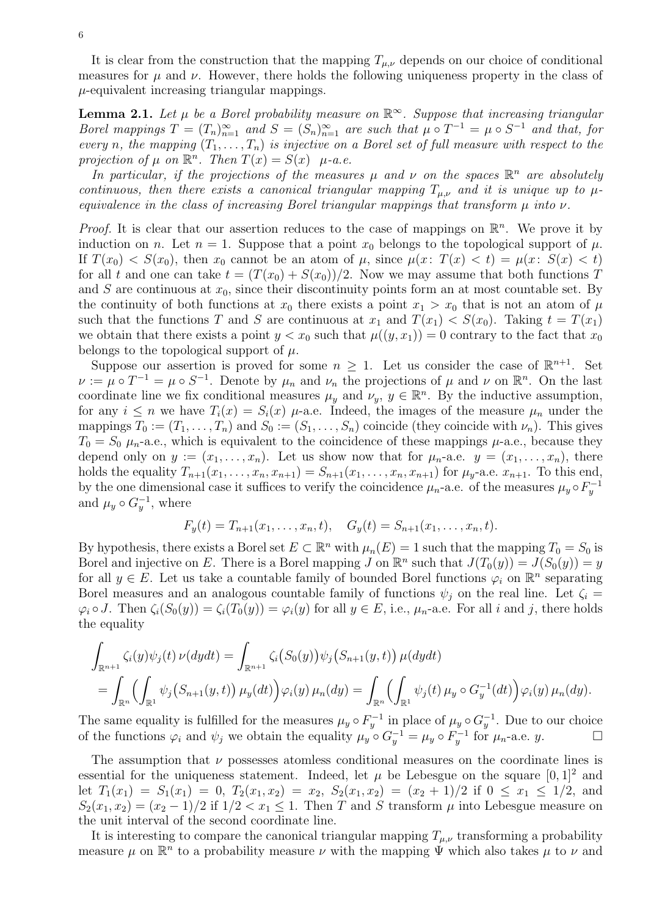It is clear from the construction that the mapping  $T_{\mu,\nu}$  depends on our choice of conditional measures for  $\mu$  and  $\nu$ . However, there holds the following uniqueness property in the class of  $\mu$ -equivalent increasing triangular mappings.

**Lemma 2.1.** Let  $\mu$  be a Borel probability measure on  $\mathbb{R}^{\infty}$ . Suppose that increasing triangular Borel mappings  $T = (T_n)_{n=1}^{\infty}$  and  $S = (S_n)_{n=1}^{\infty}$  are such that  $\mu \circ T^{-1} = \mu \circ S^{-1}$  and that, for every n, the mapping  $(T_1, \ldots, T_n)$  is injective on a Borel set of full measure with respect to the projection of  $\mu$  on  $\mathbb{R}^n$ . Then  $T(x) = S(x)$   $\mu$ -a.e.

In particular, if the projections of the measures  $\mu$  and  $\nu$  on the spaces  $\mathbb{R}^n$  are absolutely continuous, then there exists a canonical triangular mapping  $T_{\mu,\nu}$  and it is unique up to  $\mu$ equivalence in the class of increasing Borel triangular mappings that transform  $\mu$  into  $\nu$ .

*Proof.* It is clear that our assertion reduces to the case of mappings on  $\mathbb{R}^n$ . We prove it by induction on n. Let  $n = 1$ . Suppose that a point  $x_0$  belongs to the topological support of  $\mu$ . If  $T(x_0) < S(x_0)$ , then  $x_0$  cannot be an atom of  $\mu$ , since  $\mu(x: T(x) < t) = \mu(x: S(x) < t)$ for all t and one can take  $t = (T(x_0) + S(x_0))/2$ . Now we may assume that both functions T and S are continuous at  $x_0$ , since their discontinuity points form an at most countable set. By the continuity of both functions at  $x_0$  there exists a point  $x_1 > x_0$  that is not an atom of  $\mu$ such that the functions T and S are continuous at  $x_1$  and  $T(x_1) < S(x_0)$ . Taking  $t = T(x_1)$ we obtain that there exists a point  $y < x_0$  such that  $\mu((y, x_1)) = 0$  contrary to the fact that  $x_0$ belongs to the topological support of  $\mu$ .

Suppose our assertion is proved for some  $n \geq 1$ . Let us consider the case of  $\mathbb{R}^{n+1}$ . Set  $\nu := \mu \circ T^{-1} = \mu \circ S^{-1}$ . Denote by  $\mu_n$  and  $\nu_n$  the projections of  $\mu$  and  $\nu$  on  $\mathbb{R}^n$ . On the last coordinate line we fix conditional measures  $\mu_y$  and  $\nu_y$ ,  $y \in \mathbb{R}^n$ . By the inductive assumption, for any  $i \leq n$  we have  $T_i(x) = S_i(x)$   $\mu$ -a.e. Indeed, the images of the measure  $\mu_n$  under the mappings  $T_0 := (T_1, \ldots, T_n)$  and  $S_0 := (S_1, \ldots, S_n)$  coincide (they coincide with  $\nu_n$ ). This gives  $T_0 = S_0 \mu_n$ -a.e., which is equivalent to the coincidence of these mappings  $\mu$ -a.e., because they depend only on  $y := (x_1, \ldots, x_n)$ . Let us show now that for  $\mu_n$ -a.e.  $y = (x_1, \ldots, x_n)$ , there holds the equality  $T_{n+1}(x_1, ..., x_n, x_{n+1}) = S_{n+1}(x_1, ..., x_n, x_{n+1})$  for  $\mu_y$ -a.e.  $x_{n+1}$ . To this end, by the one dimensional case it suffices to verify the coincidence  $\mu_n$ -a.e. of the measures  $\mu_y \circ F_y^{-1}$ and  $\mu_y \circ G_y^{-1}$ , where

$$
F_y(t) = T_{n+1}(x_1, \ldots, x_n, t), \quad G_y(t) = S_{n+1}(x_1, \ldots, x_n, t).
$$

By hypothesis, there exists a Borel set  $E \subset \mathbb{R}^n$  with  $\mu_n(E) = 1$  such that the mapping  $T_0 = S_0$  is Borel and injective on E. There is a Borel mapping J on  $\mathbb{R}^n$  such that  $J(T_0(y)) = J(S_0(y)) = y$ for all  $y \in E$ . Let us take a countable family of bounded Borel functions  $\varphi_i$  on  $\mathbb{R}^n$  separating Borel measures and an analogous countable family of functions  $\psi_i$  on the real line. Let  $\zeta_i =$  $\varphi_i \circ J$ . Then  $\zeta_i(S_0(y)) = \zeta_i(T_0(y)) = \varphi_i(y)$  for all  $y \in E$ , i.e.,  $\mu_n$ -a.e. For all i and j, there holds the equality

$$
\int_{\mathbb{R}^{n+1}} \zeta_i(y)\psi_j(t) \nu(dydt) = \int_{\mathbb{R}^{n+1}} \zeta_i(S_0(y))\psi_j(S_{n+1}(y,t)) \mu(dydt)
$$
  
= 
$$
\int_{\mathbb{R}^n} \left(\int_{\mathbb{R}^1} \psi_j(S_{n+1}(y,t)) \mu_y(dt)\right) \varphi_i(y) \mu_n(dy) = \int_{\mathbb{R}^n} \left(\int_{\mathbb{R}^1} \psi_j(t) \mu_y \circ G_y^{-1}(dt)\right) \varphi_i(y) \mu_n(dy).
$$

The same equality is fulfilled for the measures  $\mu_y \circ F_y^{-1}$  in place of  $\mu_y \circ G_y^{-1}$ . Due to our choice of the functions  $\varphi_i$  and  $\psi_j$  we obtain the equality  $\mu_y \circ G_y^{-1} = \mu_y \circ F_y^{-1}$  for  $\mu_n$ -a.e. y.

The assumption that  $\nu$  possesses atomless conditional measures on the coordinate lines is essential for the uniqueness statement. Indeed, let  $\mu$  be Lebesgue on the square  $[0, 1]^2$  and let  $T_1(x_1) = S_1(x_1) = 0$ ,  $T_2(x_1, x_2) = x_2$ ,  $S_2(x_1, x_2) = (x_2 + 1)/2$  if  $0 \le x_1 \le 1/2$ , and  $S_2(x_1, x_2) = (x_2 - 1)/2$  if  $1/2 < x_1 \leq 1$ . Then T and S transform  $\mu$  into Lebesgue measure on the unit interval of the second coordinate line.

It is interesting to compare the canonical triangular mapping  $T_{\mu,\nu}$  transforming a probability measure  $\mu$  on  $\mathbb{R}^n$  to a probability measure  $\nu$  with the mapping  $\Psi$  which also takes  $\mu$  to  $\nu$  and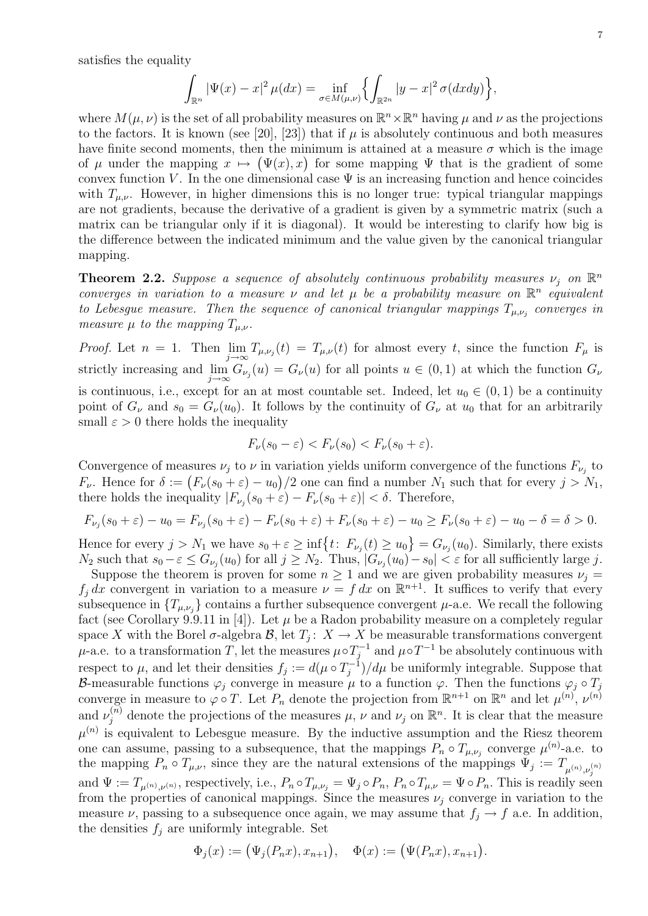satisfies the equality

$$
\int_{\mathbb{R}^n} |\Psi(x) - x|^2 \,\mu(dx) = \inf_{\sigma \in M(\mu,\nu)} \left\{ \int_{\mathbb{R}^{2n}} |y - x|^2 \,\sigma(dx dy) \right\},\,
$$

where  $M(\mu, \nu)$  is the set of all probability measures on  $\mathbb{R}^n \times \mathbb{R}^n$  having  $\mu$  and  $\nu$  as the projections to the factors. It is known (see [20], [23]) that if  $\mu$  is absolutely continuous and both measures have finite second moments, then the minimum is attained at a measure  $\sigma$  which is the image of  $\mu$  under the mapping  $x \mapsto (\Psi(x), x)$  for some mapping  $\Psi$  that is the gradient of some convex function V. In the one dimensional case  $\Psi$  is an increasing function and hence coincides with  $T_{\mu,\nu}$ . However, in higher dimensions this is no longer true: typical triangular mappings are not gradients, because the derivative of a gradient is given by a symmetric matrix (such a matrix can be triangular only if it is diagonal). It would be interesting to clarify how big is the difference between the indicated minimum and the value given by the canonical triangular mapping.

**Theorem 2.2.** Suppose a sequence of absolutely continuous probability measures  $\nu_j$  on  $\mathbb{R}^n$ converges in variation to a measure  $\nu$  and let  $\mu$  be a probability measure on  $\mathbb{R}^n$  equivalent to Lebesgue measure. Then the sequence of canonical triangular mappings  $T_{\mu,\nu_j}$  converges in measure  $\mu$  to the mapping  $T_{\mu,\nu}$ .

*Proof.* Let  $n = 1$ . Then  $\lim_{j\to\infty} T_{\mu,\nu_j}(t) = T_{\mu,\nu}(t)$  for almost every t, since the function  $F_{\mu}$  is strictly increasing and  $\lim_{j\to\infty} G_{\nu_j}(u) = G_{\nu}(u)$  for all points  $u \in (0,1)$  at which the function  $G_{\nu}$ is continuous, i.e., except for an at most countable set. Indeed, let  $u_0 \in (0,1)$  be a continuity point of  $G_{\nu}$  and  $s_0 = G_{\nu}(u_0)$ . It follows by the continuity of  $G_{\nu}$  at  $u_0$  that for an arbitrarily small  $\varepsilon > 0$  there holds the inequality

$$
F_{\nu}(s_0 - \varepsilon) < F_{\nu}(s_0) < F_{\nu}(s_0 + \varepsilon).
$$

Convergence of measures  $\nu_j$  to  $\nu$  in variation yields uniform convergence of the functions  $F_{\nu_j}$  to  $F_{\nu}$ . Hence for  $\delta := (F_{\nu}(s_0 + \varepsilon) - u_0)/2$  one can find a number  $N_1$  such that for every  $j > N_1$ , there holds the inequality  $|F_{\nu_j}(s_0+\varepsilon)-F_{\nu}(s_0+\varepsilon)| < \delta$ . Therefore,

$$
F_{\nu_j}(s_0 + \varepsilon) - u_0 = F_{\nu_j}(s_0 + \varepsilon) - F_{\nu}(s_0 + \varepsilon) + F_{\nu}(s_0 + \varepsilon) - u_0 \ge F_{\nu}(s_0 + \varepsilon) - u_0 - \delta = \delta > 0.
$$

Hence for every  $j > N_1$  we have  $s_0 + \varepsilon \ge \inf\{t: F_{\nu_j}(t) \ge u_0\} = G_{\nu_j}(u_0)$ . Similarly, there exists  $N_2$  such that  $s_0 - \varepsilon \le G_{\nu_j}(u_0)$  for all  $j \ge N_2$ . Thus,  $|G_{\nu_j}(u_0) - s_0| < \varepsilon$  for all sufficiently large j.

Suppose the theorem is proven for some  $n \geq 1$  and we are given probability measures  $\nu_j =$  $f_j dx$  convergent in variation to a measure  $\nu = f dx$  on  $\mathbb{R}^{n+1}$ . It suffices to verify that every subsequence in  $\{T_{\mu,\nu_j}\}$  contains a further subsequence convergent  $\mu$ -a.e. We recall the following fact (see Corollary 9.9.11 in [4]). Let  $\mu$  be a Radon probability measure on a completely regular space X with the Borel  $\sigma$ -algebra  $\mathcal{B}$ , let  $T_j: X \to X$  be measurable transformations convergent  $\mu$ -a.e. to a transformation T, let the measures  $\mu \circ T_i^{-1}$  $j_j^{-1}$  and  $\mu \circ T^{-1}$  be absolutely continuous with respect to  $\mu$ , and let their densities  $f_j := d(\mu \circ T_i^{-1})$  $j_j^{-1}$ )/d $\mu$  be uniformly integrable. Suppose that B-measurable functions  $\varphi_j$  converge in measure  $\mu$  to a function  $\varphi$ . Then the functions  $\varphi_j \circ T_j$ converge in measure to  $\varphi \circ T$ . Let  $P_n$  denote the projection from  $\mathbb{R}^{n+1}$  on  $\mathbb{R}^n$  and let  $\mu^{(n)}$ ,  $\nu^{(n)}$ and  $\nu_j^{(n)}$  denote the projections of the measures  $\mu$ ,  $\nu$  and  $\nu_j$  on  $\mathbb{R}^n$ . It is clear that the measure  $\mu^{(n)}$  is equivalent to Lebesgue measure. By the inductive assumption and the Riesz theorem one can assume, passing to a subsequence, that the mappings  $P_n \circ T_{\mu,\nu_j}$  converge  $\mu^{(n)}$ -a.e. to the mapping  $P_n \circ T_{\mu,\nu}$ , since they are the natural extensions of the mappings  $\Psi_j := T_{\mu^{(n)},\nu_j^{(n)}}$ and  $\Psi := T_{\mu^{(n)},\nu^{(n)}}$ , respectively, i.e.,  $P_n \circ T_{\mu,\nu_j} = \Psi_j \circ P_n$ ,  $P_n \circ T_{\mu,\nu} = \Psi \circ P_n$ . This is readily seen from the properties of canonical mappings. Since the measures  $\nu_i$  converge in variation to the measure  $\nu$ , passing to a subsequence once again, we may assume that  $f_i \to f$  a.e. In addition, the densities  $f_i$  are uniformly integrable. Set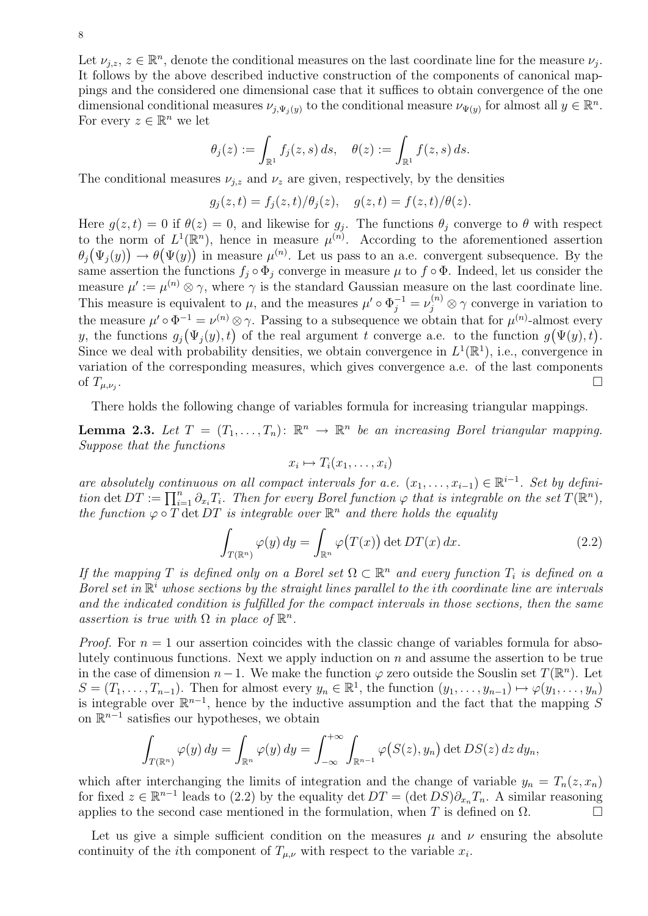Let  $\nu_{j,z}, z \in \mathbb{R}^n$ , denote the conditional measures on the last coordinate line for the measure  $\nu_j$ . It follows by the above described inductive construction of the components of canonical mappings and the considered one dimensional case that it suffices to obtain convergence of the one dimensional conditional measures  $\nu_{j,\Psi_j(y)}$  to the conditional measure  $\nu_{\Psi(y)}$  for almost all  $y \in \mathbb{R}^n$ . For every  $z \in \mathbb{R}^n$  we let

$$
\theta_j(z) := \int_{\mathbb{R}^1} f_j(z, s) \, ds, \quad \theta(z) := \int_{\mathbb{R}^1} f(z, s) \, ds.
$$

The conditional measures  $\nu_{j,z}$  and  $\nu_z$  are given, respectively, by the densities

$$
g_j(z,t) = f_j(z,t)/\theta_j(z), \quad g(z,t) = f(z,t)/\theta(z).
$$

Here  $g(z,t) = 0$  if  $\theta(z) = 0$ , and likewise for  $g_j$ . The functions  $\theta_j$  converge to  $\theta$  with respect to the norm of  $L^1(\mathbb{R}^n)$ , hence in measure  $\mu^{(n)}$ . According to the aforementioned assertion  $\theta_j(\Psi_j(y)) \to \theta(\Psi(y))$  in measure  $\mu^{(n)}$ . Let us pass to an a.e. convergent subsequence. By the same assertion the functions  $f_i \circ \Phi_i$  converge in measure  $\mu$  to  $f \circ \Phi$ . Indeed, let us consider the measure  $\mu' := \mu^{(n)} \otimes \gamma$ , where  $\gamma$  is the standard Gaussian measure on the last coordinate line. This measure is equivalent to  $\mu$ , and the measures  $\mu' \circ \Phi_j^{-1} = \nu_j^{(n)} \otimes \gamma$  converge in variation to the measure  $\mu' \circ \Phi^{-1} = \nu^{(n)} \otimes \gamma$ . Passing to a subsequence we obtain that for  $\mu^{(n)}$ -almost every y, the functions  $g_j(\Psi_j(y), t)$  of the real argument t converge a.e. to the function  $g(\Psi(y), t)$ . Since we deal with probability densities, we obtain convergence in  $L^1(\mathbb{R}^1)$ , i.e., convergence in variation of the corresponding measures, which gives convergence a.e. of the last components of  $T_{\mu,\nu_i}$ . .

There holds the following change of variables formula for increasing triangular mappings.

**Lemma 2.3.** Let  $T = (T_1, \ldots, T_n)$ :  $\mathbb{R}^n \to \mathbb{R}^n$  be an increasing Borel triangular mapping. Suppose that the functions

$$
x_i \mapsto T_i(x_1, \ldots, x_i)
$$

are absolutely continuous on all compact intervals for a.e.  $(x_1, \ldots, x_{i-1}) \in \mathbb{R}^{i-1}$ . Set by definition det  $DT := \prod_{i=1}^n \partial_{x_i} T_i$ . Then for every Borel function  $\varphi$  that is integrable on the set  $T(\mathbb{R}^n)$ , the function  $\varphi \circ \overline{T} \det DT$  is integrable over  $\mathbb{R}^n$  and there holds the equality

$$
\int_{T(\mathbb{R}^n)} \varphi(y) \, dy = \int_{\mathbb{R}^n} \varphi(T(x)) \, \det DT(x) \, dx. \tag{2.2}
$$

If the mapping T is defined only on a Borel set  $\Omega \subset \mathbb{R}^n$  and every function  $T_i$  is defined on a Borel set in  $\mathbb{R}^i$  whose sections by the straight lines parallel to the ith coordinate line are intervals and the indicated condition is fulfilled for the compact intervals in those sections, then the same assertion is true with  $\Omega$  in place of  $\mathbb{R}^n$ .

*Proof.* For  $n = 1$  our assertion coincides with the classic change of variables formula for absolutely continuous functions. Next we apply induction on n and assume the assertion to be true in the case of dimension  $n-1$ . We make the function  $\varphi$  zero outside the Souslin set  $T(\mathbb{R}^n)$ . Let  $S = (T_1, \ldots, T_{n-1})$ . Then for almost every  $y_n \in \mathbb{R}^1$ , the function  $(y_1, \ldots, y_{n-1}) \mapsto \varphi(y_1, \ldots, y_n)$ is integrable over  $\mathbb{R}^{n-1}$ , hence by the inductive assumption and the fact that the mapping S on  $\mathbb{R}^{n-1}$  satisfies our hypotheses, we obtain

$$
\int_{T(\mathbb{R}^n)} \varphi(y) \, dy = \int_{\mathbb{R}^n} \varphi(y) \, dy = \int_{-\infty}^{+\infty} \int_{\mathbb{R}^{n-1}} \varphi(S(z), y_n) \, \det DS(z) \, dz \, dy_n,
$$

which after interchanging the limits of integration and the change of variable  $y_n = T_n(z, x_n)$ for fixed  $z \in \mathbb{R}^{n-1}$  leads to (2.2) by the equality det  $DT = (\det \overline{DS})\partial_{x_n}T_n$ . A similar reasoning applies to the second case mentioned in the formulation, when T is defined on  $\Omega$ .

Let us give a simple sufficient condition on the measures  $\mu$  and  $\nu$  ensuring the absolute continuity of the *i*th component of  $T_{\mu,\nu}$  with respect to the variable  $x_i$ .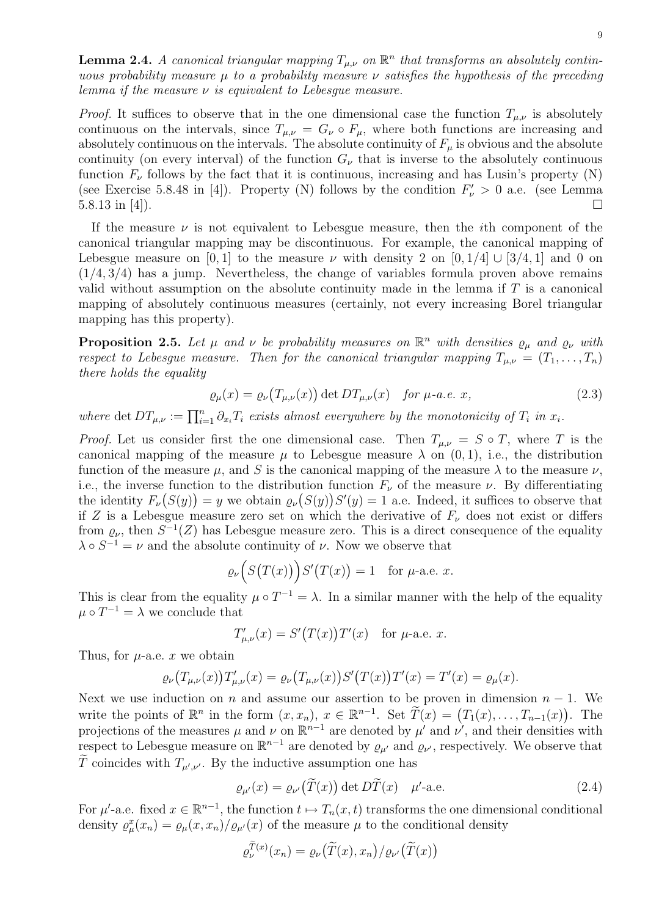**Lemma 2.4.** A canonical triangular mapping  $T_{\mu,\nu}$  on  $\mathbb{R}^n$  that transforms an absolutely continuous probability measure  $\mu$  to a probability measure  $\nu$  satisfies the hypothesis of the preceding lemma if the measure  $\nu$  is equivalent to Lebesque measure.

*Proof.* It suffices to observe that in the one dimensional case the function  $T_{\mu,\nu}$  is absolutely continuous on the intervals, since  $T_{\mu,\nu} = G_{\nu} \circ F_{\mu}$ , where both functions are increasing and absolutely continuous on the intervals. The absolute continuity of  $F_\mu$  is obvious and the absolute continuity (on every interval) of the function  $G_{\nu}$  that is inverse to the absolutely continuous function  $F_{\nu}$  follows by the fact that it is continuous, increasing and has Lusin's property (N) (see Exercise 5.8.48 in [4]). Property (N) follows by the condition  $F'_{\nu} > 0$  a.e. (see Lemma  $5.8.13$  in [4]).

If the measure  $\nu$  is not equivalent to Lebesgue measure, then the *i*th component of the canonical triangular mapping may be discontinuous. For example, the canonical mapping of Lebesgue measure on [0, 1] to the measure  $\nu$  with density 2 on [0, 1/4] ∪ [3/4, 1] and 0 on  $(1/4, 3/4)$  has a jump. Nevertheless, the change of variables formula proven above remains valid without assumption on the absolute continuity made in the lemma if  $T$  is a canonical mapping of absolutely continuous measures (certainly, not every increasing Borel triangular mapping has this property).

**Proposition 2.5.** Let  $\mu$  and  $\nu$  be probability measures on  $\mathbb{R}^n$  with densities  $\rho_{\mu}$  and  $\rho_{\nu}$  with respect to Lebesgue measure. Then for the canonical triangular mapping  $T_{\mu,\nu} = (T_1, \ldots, T_n)$ there holds the equality

$$
\varrho_{\mu}(x) = \varrho_{\nu}(T_{\mu,\nu}(x)) \det DT_{\mu,\nu}(x) \quad \text{for } \mu\text{-}a.e. x,
$$
\n(2.3)

where det  $DT_{\mu,\nu} := \prod_{i=1}^n \partial_{x_i} T_i$  exists almost everywhere by the monotonicity of  $T_i$  in  $x_i$ .

*Proof.* Let us consider first the one dimensional case. Then  $T_{\mu,\nu} = S \circ T$ , where T is the canonical mapping of the measure  $\mu$  to Lebesgue measure  $\lambda$  on  $(0, 1)$ , i.e., the distribution function of the measure  $\mu$ , and S is the canonical mapping of the measure  $\lambda$  to the measure  $\nu$ , i.e., the inverse function to the distribution function  $F_{\nu}$  of the measure  $\nu$ . By differentiating the identity  $F_{\nu}(S(y)) = y$  we obtain  $\varrho_{\nu}(S(y))S'(y) = 1$  a.e. Indeed, it suffices to observe that if Z is a Lebesgue measure zero set on which the derivative of  $F_{\nu}$  does not exist or differs from  $\varrho_{\nu}$ , then  $S^{-1}(Z)$  has Lebesgue measure zero. This is a direct consequence of the equality  $\lambda \circ S^{-1} = \nu$  and the absolute continuity of  $\nu$ . Now we observe that

$$
\varrho_{\nu}\Big(S\big(T(x)\big)\Big)S'\big(T(x)\big) = 1 \quad \text{for } \mu\text{-a.e. } x.
$$

This is clear from the equality  $\mu \circ T^{-1} = \lambda$ . In a similar manner with the help of the equality  $\mu \circ T^{-1} = \lambda$  we conclude that

$$
T'_{\mu,\nu}(x) = S'(T(x))T'(x) \quad \text{for } \mu\text{-a.e. } x.
$$

Thus, for  $\mu$ -a.e. x we obtain

$$
\varrho_{\nu}(T_{\mu,\nu}(x))T'_{\mu,\nu}(x) = \varrho_{\nu}(T_{\mu,\nu}(x))S'(T(x))T'(x) = T'(x) = \varrho_{\mu}(x).
$$

Next we use induction on n and assume our assertion to be proven in dimension  $n - 1$ . We write the points of  $\mathbb{R}^n$  in the form  $(x, x_n)$ ,  $x \in \mathbb{R}^{n-1}$ . Set  $\widetilde{T}(x) = (T_1(x), \ldots, T_{n-1}(x))$ . The projections of the measures  $\mu$  and  $\nu$  on  $\mathbb{R}^{n-1}$  are denoted by  $\mu'$  and  $\nu'$ , and their densities with respect to Lebesgue measure on  $\mathbb{R}^{n-1}$  are denoted by  $\varrho_{\mu'}$  and  $\varrho_{\nu'}$ , respectively. We observe that T coincides with  $T_{\mu',\nu'}$ . By the inductive assumption one has

$$
\varrho_{\mu'}(x) = \varrho_{\nu'}(\tilde{T}(x)) \det \tilde{DT}(x) \quad \mu'\text{-a.e.}
$$
\n(2.4)

For  $\mu'$ -a.e. fixed  $x \in \mathbb{R}^{n-1}$ , the function  $t \mapsto T_n(x,t)$  transforms the one dimensional conditional density  $\rho^x_\mu(x_n) = \rho_\mu(x, x_n) / \rho_{\mu'}(x)$  of the measure  $\mu$  to the conditional density

$$
\varrho_{\nu}^{T(x)}(x_n) = \varrho_{\nu}(\widetilde{T}(x), x_n) / \varrho_{\nu'}(\widetilde{T}(x))
$$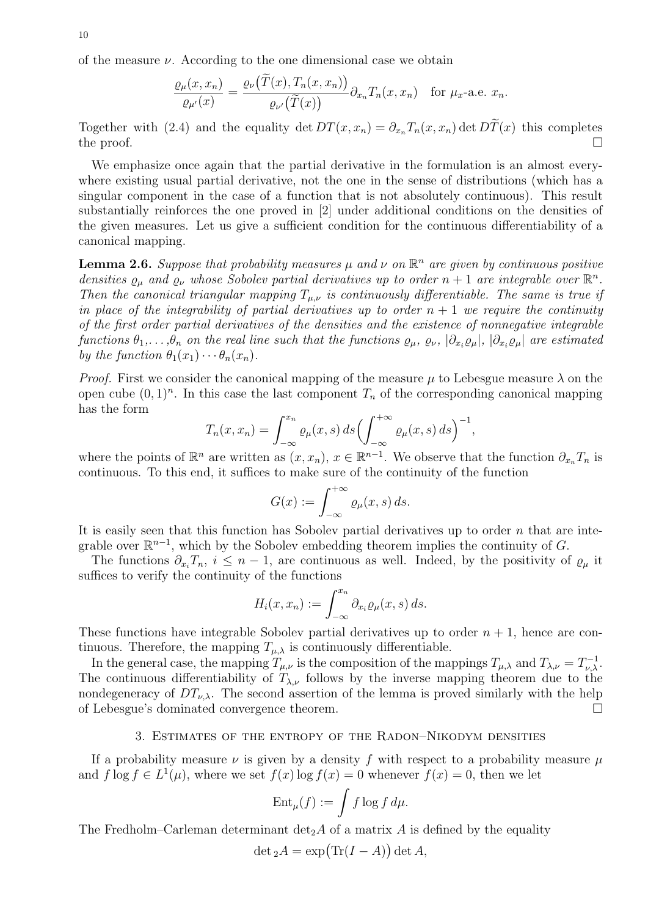of the measure  $\nu$ . According to the one dimensional case we obtain

$$
\frac{\varrho_{\mu}(x,x_n)}{\varrho_{\mu'}(x)} = \frac{\varrho_{\nu}(\hat{T}(x),T_n(x,x_n))}{\varrho_{\nu'}(\tilde{T}(x))} \partial_{x_n} T_n(x,x_n) \text{ for } \mu_x\text{-a.e. } x_n.
$$

Together with (2.4) and the equality det  $DT(x, x_n) = \partial_{x_n} T_n(x, x_n)$  det  $D\tilde{T}(x)$  this completes the proof. the proof.  $\Box$ 

We emphasize once again that the partial derivative in the formulation is an almost everywhere existing usual partial derivative, not the one in the sense of distributions (which has a singular component in the case of a function that is not absolutely continuous). This result substantially reinforces the one proved in [2] under additional conditions on the densities of the given measures. Let us give a sufficient condition for the continuous differentiability of a canonical mapping.

**Lemma 2.6.** Suppose that probability measures  $\mu$  and  $\nu$  on  $\mathbb{R}^n$  are given by continuous positive densities  $\rho_{\mu}$  and  $\rho_{\nu}$  whose Sobolev partial derivatives up to order  $n+1$  are integrable over  $\mathbb{R}^n$ . Then the canonical triangular mapping  $T_{\mu,\nu}$  is continuously differentiable. The same is true if in place of the integrability of partial derivatives up to order  $n + 1$  we require the continuity of the first order partial derivatives of the densities and the existence of nonnegative integrable functions  $\theta_1,\ldots,\theta_n$  on the real line such that the functions  $\varrho_\mu, \varrho_\nu, |\partial_{x_i}\varrho_\mu|, |\partial_{x_i}\varrho_\mu|$  are estimated by the function  $\theta_1(x_1)\cdots\theta_n(x_n)$ .

*Proof.* First we consider the canonical mapping of the measure  $\mu$  to Lebesgue measure  $\lambda$  on the open cube  $(0, 1)^n$ . In this case the last component  $T_n$  of the corresponding canonical mapping has the form

$$
T_n(x, x_n) = \int_{-\infty}^{x_n} \varrho_\mu(x, s) \, ds \Bigl( \int_{-\infty}^{+\infty} \varrho_\mu(x, s) \, ds \Bigr)^{-1},
$$

where the points of  $\mathbb{R}^n$  are written as  $(x, x_n)$ ,  $x \in \mathbb{R}^{n-1}$ . We observe that the function  $\partial_{x_n} T_n$  is continuous. To this end, it suffices to make sure of the continuity of the function

$$
G(x) := \int_{-\infty}^{+\infty} \varrho_{\mu}(x, s) \, ds.
$$

It is easily seen that this function has Sobolev partial derivatives up to order  $n$  that are integrable over  $\mathbb{R}^{n-1}$ , which by the Sobolev embedding theorem implies the continuity of G.

The functions  $\partial_{x_i}T_n$ ,  $i \leq n-1$ , are continuous as well. Indeed, by the positivity of  $\varrho_\mu$  it suffices to verify the continuity of the functions

$$
H_i(x, x_n) := \int_{-\infty}^{x_n} \partial_{x_i} \varrho_\mu(x, s) \, ds.
$$

These functions have integrable Sobolev partial derivatives up to order  $n + 1$ , hence are continuous. Therefore, the mapping  $T_{\mu,\lambda}$  is continuously differentiable.

In the general case, the mapping  $T_{\mu,\nu}$  is the composition of the mappings  $T_{\mu,\lambda}$  and  $T_{\lambda,\nu} = T_{\nu,\lambda}^{-1}$ . The continuous differentiability of  $T_{\lambda,\nu}$  follows by the inverse mapping theorem due to the nondegeneracy of  $DT_{\nu,\lambda}$ . The second assertion of the lemma is proved similarly with the help of Lebesgue's dominated convergence theorem.

#### 3. Estimates of the entropy of the Radon–Nikodym densities

If a probability measure  $\nu$  is given by a density f with respect to a probability measure  $\mu$ and  $f \log f \in L^1(\mu)$ , where we set  $f(x) \log f(x) = 0$  whenever  $f(x) = 0$ , then we let

$$
\operatorname{Ent}_{\mu}(f) := \int f \log f \, d\mu.
$$

The Fredholm–Carleman determinant  $\det_2 A$  of a matrix A is defined by the equality

$$
\det {}_2A = \exp\bigl( \operatorname{Tr} (I - A)\bigr) \det A,
$$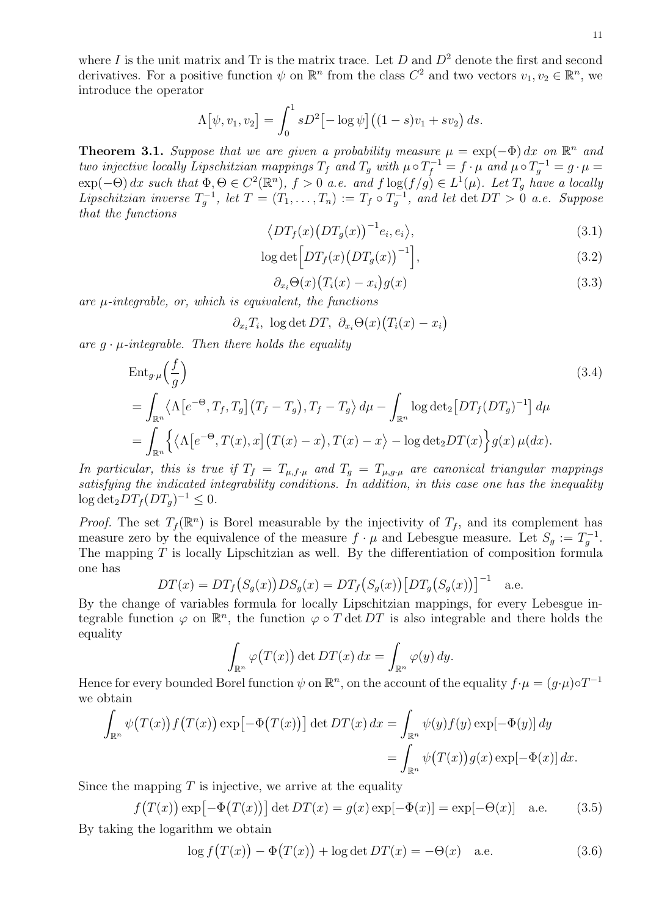where I is the unit matrix and Tr is the matrix trace. Let  $D$  and  $D<sup>2</sup>$  denote the first and second derivatives. For a positive function  $\psi$  on  $\mathbb{R}^n$  from the class  $C^2$  and two vectors  $v_1, v_2 \in \mathbb{R}^n$ , we introduce the operator

$$
\Lambda[\psi, v_1, v_2] = \int_0^1 sD^2[-\log \psi] ((1 - s)v_1 + sv_2) ds.
$$

**Theorem 3.1.** Suppose that we are given a probability measure  $\mu = \exp(-\Phi) dx$  on  $\mathbb{R}^n$  and two injective locally Lipschitzian mappings  $T_f$  and  $T_g$  with  $\mu \circ T_f^{-1} = f \cdot \mu$  and  $\mu \circ T_g^{-1} = g \cdot \mu =$  $\exp(-\Theta) dx$  such that  $\Phi, \Theta \in C^2(\mathbb{R}^n)$ ,  $f > 0$  a.e. and  $f \log(f/g) \in L^1(\mu)$ . Let  $T_g$  have a locally Lipschitzian inverse  $T_g^{-1}$ , let  $T = (T_1, \ldots, T_n) := T_f \circ T_g^{-1}$ , and let  $\det DT > 0$  a.e. Suppose that the functions

$$
\langle DT_f(x) \big( DT_g(x) \big)^{-1} e_i, e_i \rangle, \tag{3.1}
$$

$$
\log \det \left[ DT_f(x) \left( DT_g(x) \right)^{-1} \right],\tag{3.2}
$$

$$
\partial_{x_i} \Theta(x) \big( T_i(x) - x_i \big) g(x) \tag{3.3}
$$

are  $\mu$ -integrable, or, which is equivalent, the functions

$$
\partial_{x_i} T_i
$$
,  $\log \det DT$ ,  $\partial_{x_i} \Theta(x) (T_i(x) - x_i)$ 

are  $q \cdot \mu$ -integrable. Then there holds the equality

$$
\begin{split} &\text{Ent}_{g \cdot \mu}\left(\frac{f}{g}\right) \\ &= \int_{\mathbb{R}^n} \langle \Lambda \left[e^{-\Theta}, T_f, T_g\right] \left(T_f - T_g\right), T_f - T_g \rangle \, d\mu - \int_{\mathbb{R}^n} \log \det_2 \left[ DT_f (DT_g)^{-1} \right] \, d\mu \\ &= \int_{\mathbb{R}^n} \left\{ \langle \Lambda \left[e^{-\Theta}, T(x), x\right] \left(T(x) - x\right), T(x) - x \rangle - \log \det_2 DT(x) \right\} g(x) \, \mu(dx). \end{split} \tag{3.4}
$$

In particular, this is true if  $T_f = T_{\mu,f\cdot\mu}$  and  $T_q = T_{\mu,q\cdot\mu}$  are canonical triangular mappings satisfying the indicated integrability conditions. In addition, in this case one has the inequality  $\log \det_2 DT_f(DT_g)^{-1} \leq 0.$ 

*Proof.* The set  $T_f(\mathbb{R}^n)$  is Borel measurable by the injectivity of  $T_f$ , and its complement has measure zero by the equivalence of the measure  $f \cdot \mu$  and Lebesgue measure. Let  $S_g := T_g^{-1}$ . The mapping  $T$  is locally Lipschitzian as well. By the differentiation of composition formula one has

$$
DT(x) = DT_f(S_g(x))DS_g(x) = DT_f(S_g(x)) [DT_g(S_g(x))]^{-1}
$$
 a.e.

By the change of variables formula for locally Lipschitzian mappings, for every Lebesgue integrable function  $\varphi$  on  $\mathbb{R}^n$ , the function  $\varphi \circ T$  det DT is also integrable and there holds the equality

$$
\int_{\mathbb{R}^n} \varphi(T(x)) \det DT(x) \, dx = \int_{\mathbb{R}^n} \varphi(y) \, dy.
$$

Hence for every bounded Borel function  $\psi$  on  $\mathbb{R}^n$ , on the account of the equality  $f \cdot \mu = (g \cdot \mu) \circ T^{-1}$ we obtain

$$
\int_{\mathbb{R}^n} \psi(T(x)) f(T(x)) \exp[-\Phi(T(x))] \det DT(x) dx = \int_{\mathbb{R}^n} \psi(y) f(y) \exp[-\Phi(y)] dy
$$
  
= 
$$
\int_{\mathbb{R}^n} \psi(T(x)) g(x) \exp[-\Phi(x)] dx.
$$

Since the mapping  $T$  is injective, we arrive at the equality

$$
f(T(x)) \exp[-\Phi(T(x))] \det DT(x) = g(x) \exp[-\Phi(x)] = \exp[-\Theta(x)] \quad \text{a.e.} \tag{3.5}
$$

By taking the logarithm we obtain

$$
\log f(T(x)) - \Phi(T(x)) + \log \det DT(x) = -\Theta(x) \quad \text{a.e.} \tag{3.6}
$$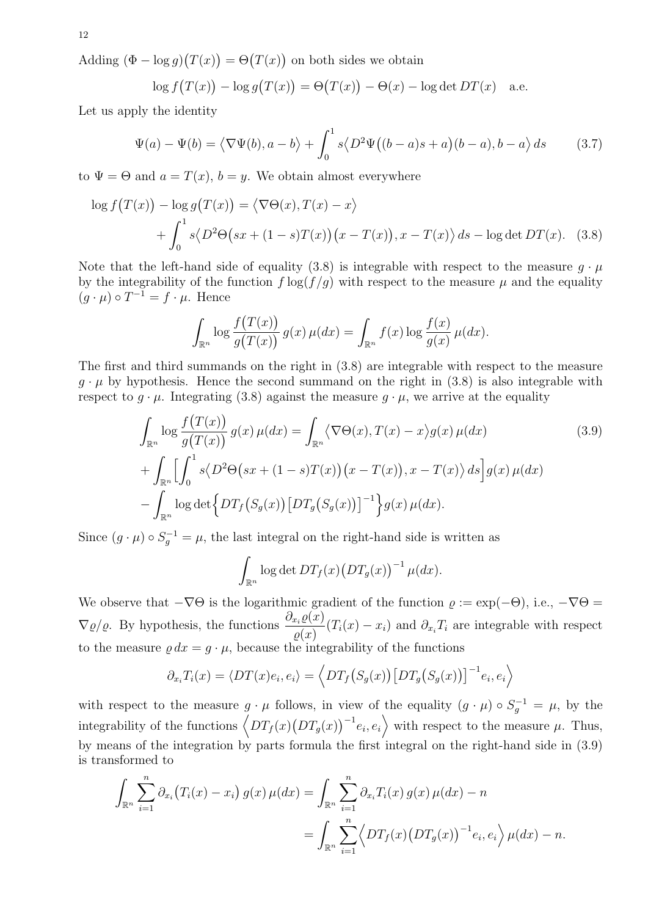Adding  $(\Phi - \log g)(T(x)) = \Theta(T(x))$  on both sides we obtain

$$
\log f(T(x)) - \log g(T(x)) = \Theta(T(x)) - \Theta(x) - \log \det DT(x)
$$
 a.e.

Let us apply the identity

$$
\Psi(a) - \Psi(b) = \langle \nabla \Psi(b), a - b \rangle + \int_0^1 s \langle D^2 \Psi((b - a)s + a)(b - a), b - a \rangle ds \qquad (3.7)
$$

to  $\Psi = \Theta$  and  $a = T(x)$ ,  $b = y$ . We obtain almost everywhere

$$
\log f(T(x)) - \log g(T(x)) = \langle \nabla \Theta(x), T(x) - x \rangle
$$
  
+ 
$$
\int_0^1 s \langle D^2 \Theta(sx + (1 - s)T(x))(x - T(x)), x - T(x) \rangle ds - \log \det DT(x). \quad (3.8)
$$

Note that the left-hand side of equality (3.8) is integrable with respect to the measure  $g \cdot \mu$ by the integrability of the function  $f \log(f/q)$  with respect to the measure  $\mu$  and the equality  $(g \cdot \mu) \circ T^{-1} = f \cdot \mu$ . Hence

$$
\int_{\mathbb{R}^n} \log \frac{f(T(x))}{g(T(x))} g(x) \,\mu(dx) = \int_{\mathbb{R}^n} f(x) \log \frac{f(x)}{g(x)} \,\mu(dx).
$$

The first and third summands on the right in (3.8) are integrable with respect to the measure  $q \cdot \mu$  by hypothesis. Hence the second summand on the right in (3.8) is also integrable with respect to  $g \cdot \mu$ . Integrating (3.8) against the measure  $g \cdot \mu$ , we arrive at the equality

$$
\int_{\mathbb{R}^n} \log \frac{f(T(x))}{g(T(x))} g(x) \mu(dx) = \int_{\mathbb{R}^n} \langle \nabla \Theta(x), T(x) - x \rangle g(x) \mu(dx) \tag{3.9}
$$
\n
$$
+ \int_{\mathbb{R}^n} \left[ \int_0^1 s \langle D^2 \Theta(sx + (1 - s)T(x)) (x - T(x)), x - T(x) \rangle ds \right] g(x) \mu(dx) \tag{3.9}
$$
\n
$$
- \int_{\mathbb{R}^n} \log \det \left\{ DT_f(S_g(x)) \left[ DT_g(S_g(x)) \right]^{-1} \right\} g(x) \mu(dx).
$$

Since  $(g \cdot \mu) \circ S_g^{-1} = \mu$ , the last integral on the right-hand side is written as

$$
\int_{\mathbb{R}^n} \log \det DT_f(x) \big( DT_g(x) \big)^{-1} \mu(dx).
$$

We observe that  $-\nabla\Theta$  is the logarithmic gradient of the function  $\varrho := \exp(-\Theta)$ , i.e.,  $-\nabla\Theta =$  $\nabla \varrho/\varrho$ . By hypothesis, the functions  $\frac{\partial_{x_i}\varrho(x)}{\partial x_j}$  $\frac{\partial x_i \mathcal{L}(x_i)}{\partial x_i}(T_i(x) - x_i)$  and  $\partial_{x_i}T_i$  are integrable with respect to the measure  $\varrho dx = g \cdot \mu$ , because the integrability of the functions

$$
\partial_{x_i} T_i(x) = \langle DT(x)e_i, e_i \rangle = \langle DT_f(S_g(x)) [DT_g(S_g(x))]^{-1} e_i, e_i \rangle
$$

with respect to the measure  $g \cdot \mu$  follows, in view of the equality  $(g \cdot \mu) \circ S_g^{-1} = \mu$ , by the integrability of the functions  $\left\langle DT_f(x)(DT_g(x))^{-1}e_i,e_i\right\rangle$  with respect to the measure  $\mu$ . Thus, by means of the integration by parts formula the first integral on the right-hand side in (3.9) is transformed to

$$
\int_{\mathbb{R}^n} \sum_{i=1}^n \partial_{x_i} (T_i(x) - x_i) g(x) \mu(dx) = \int_{\mathbb{R}^n} \sum_{i=1}^n \partial_{x_i} T_i(x) g(x) \mu(dx) - n
$$
  
= 
$$
\int_{\mathbb{R}^n} \sum_{i=1}^n \left\langle DT_f(x) (DT_g(x))^{-1} e_i, e_i \right\rangle \mu(dx) - n.
$$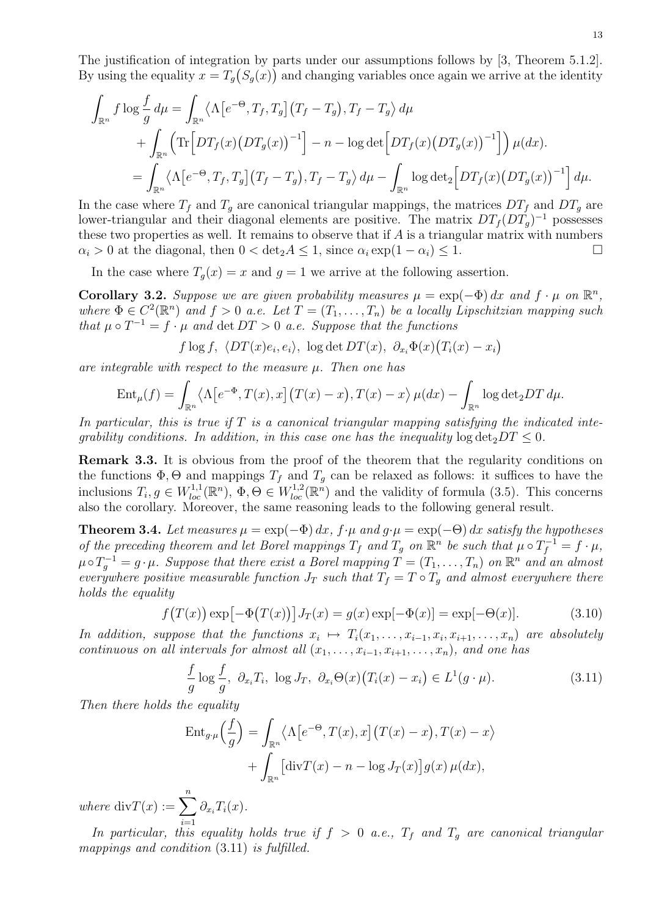The justification of integration by parts under our assumptions follows by [3, Theorem 5.1.2]. By using the equality  $x = T_g(S_g(x))$  and changing variables once again we arrive at the identity

$$
\int_{\mathbb{R}^n} f \log \frac{f}{g} d\mu = \int_{\mathbb{R}^n} \langle \Lambda \left[ e^{-\Theta}, T_f, T_g \right] (T_f - T_g), T_f - T_g \rangle d\mu \n+ \int_{\mathbb{R}^n} \left( \text{Tr} \left[ DT_f(x) (DT_g(x))^{-1} \right] - n - \log \det \left[ DT_f(x) (DT_g(x))^{-1} \right] \right) \mu(dx).
$$
\n
$$
= \int_{\mathbb{R}^n} \langle \Lambda \left[ e^{-\Theta}, T_f, T_g \right] (T_f - T_g), T_f - T_g \rangle d\mu - \int_{\mathbb{R}^n} \log \det_2 \left[ DT_f(x) (DT_g(x))^{-1} \right] d\mu.
$$

In the case where  $T_f$  and  $T_g$  are canonical triangular mappings, the matrices  $DT_f$  and  $DT_g$  are lower-triangular and their diagonal elements are positive. The matrix  $DT_f(DT_g)^{-1}$  possesses these two properties as well. It remains to observe that if  $A$  is a triangular matrix with numbers  $\alpha_i > 0$  at the diagonal, then  $0 < \det_2 A \leq 1$ , since  $\alpha_i \exp(1 - \alpha_i) \leq 1$ .

In the case where  $T_q(x) = x$  and  $q = 1$  we arrive at the following assertion.

Corollary 3.2. Suppose we are given probability measures  $\mu = \exp(-\Phi) dx$  and  $f \cdot \mu$  on  $\mathbb{R}^n$ , where  $\Phi \in C^2(\mathbb{R}^n)$  and  $f > 0$  a.e. Let  $T = (T_1, \ldots, T_n)$  be a locally Lipschitzian mapping such that  $\mu \circ T^{-1} = f \cdot \mu$  and  $\det DT > 0$  a.e. Suppose that the functions

$$
f \log f
$$
,  $\langle DT(x)e_i, e_i \rangle$ ,  $\log \det DT(x)$ ,  $\partial_{x_i} \Phi(x) (T_i(x) - x_i)$ 

are integrable with respect to the measure  $\mu$ . Then one has

$$
\operatorname{Ent}_{\mu}(f) = \int_{\mathbb{R}^n} \langle \Lambda \left[ e^{-\Phi}, T(x), x \right] \left( T(x) - x \right), T(x) - x \rangle \, \mu(dx) - \int_{\mathbb{R}^n} \log \det_2 DT \, d\mu.
$$

In particular, this is true if  $T$  is a canonical triangular mapping satisfying the indicated inteqrability conditions. In addition, in this case one has the inequality  $\log \det_2 DT \leq 0$ .

Remark 3.3. It is obvious from the proof of the theorem that the regularity conditions on the functions  $\Phi$ ,  $\Theta$  and mappings  $T_f$  and  $T_g$  can be relaxed as follows: it suffices to have the inclusions  $T_i, g \in W_{loc}^{1,1}(\mathbb{R}^n)$ ,  $\Phi, \Theta \in W_{loc}^{1,2}(\mathbb{R}^n)$  and the validity of formula (3.5). This concerns also the corollary. Moreover, the same reasoning leads to the following general result.

**Theorem 3.4.** Let measures  $\mu = \exp(-\Phi) dx$ ,  $f \cdot \mu$  and  $g \cdot \mu = \exp(-\Theta) dx$  satisfy the hypotheses of the preceding theorem and let Borel mappings  $T_f$  and  $T_g$  on  $\mathbb{R}^n$  be such that  $\mu \circ T_f^{-1} = f \cdot \mu$ ,  $\mu \circ T_g^{-1} = g \cdot \mu$ . Suppose that there exist a Borel mapping  $T = (T_1, \ldots, T_n)$  on  $\mathbb{R}^n$  and an almost everywhere positive measurable function  $J_T$  such that  $T_f = T \circ T_q$  and almost everywhere there holds the equality

$$
f(T(x)) \exp[-\Phi(T(x))] J_T(x) = g(x) \exp[-\Phi(x)] = \exp[-\Theta(x)].
$$
 (3.10)

In addition, suppose that the functions  $x_i \mapsto T_i(x_1,\ldots,x_{i-1},x_i,x_{i+1},\ldots,x_n)$  are absolutely continuous on all intervals for almost all  $(x_1, \ldots, x_{i-1}, x_{i+1}, \ldots, x_n)$ , and one has

$$
\frac{f}{g}\log\frac{f}{g}, \ \partial_{x_i}T_i, \ \log J_T, \ \partial_{x_i}\Theta(x)\big(T_i(x)-x_i\big) \in L^1(g\cdot\mu). \tag{3.11}
$$

Then there holds the equality

$$
\operatorname{Ent}_{g \cdot \mu}\left(\frac{f}{g}\right) = \int_{\mathbb{R}^n} \langle \Lambda \left[e^{-\Theta}, T(x), x\right] \left(T(x) - x\right), T(x) - x \rangle + \int_{\mathbb{R}^n} \left[\operatorname{div} T(x) - n - \log J_T(x)\right] g(x) \,\mu(dx),
$$

where  $\mathrm{div}T(x) := \sum_{n=0}^{n}$  $i=1$  $\partial_{x_i}T_i(x)$ .

In particular, this equality holds true if  $f > 0$  a.e.,  $T_f$  and  $T_g$  are canonical triangular mappings and condition  $(3.11)$  is fulfilled.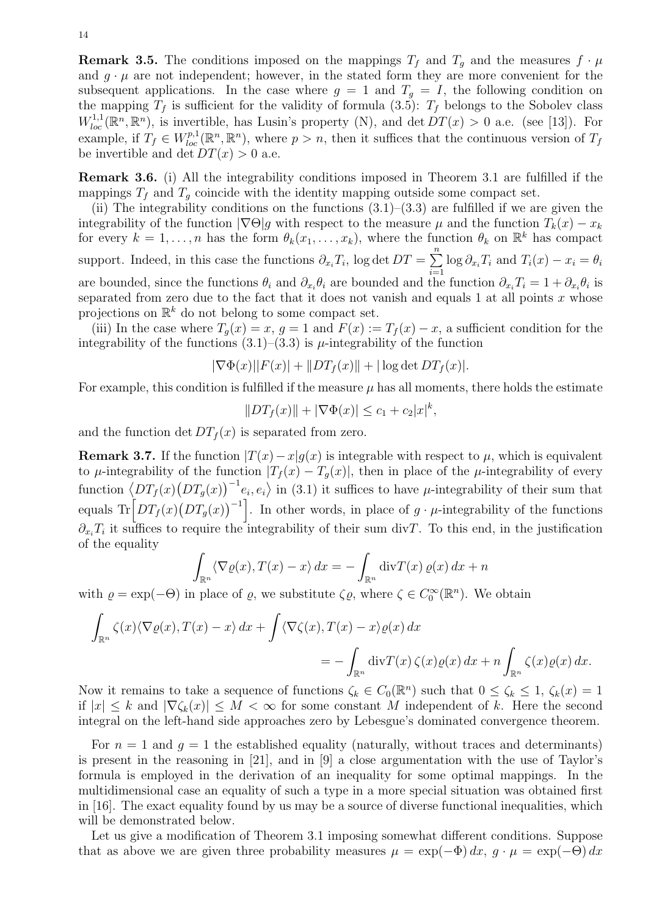**Remark 3.5.** The conditions imposed on the mappings  $T_f$  and  $T_g$  and the measures  $f \cdot \mu$ and  $g \cdot \mu$  are not independent; however, in the stated form they are more convenient for the subsequent applications. In the case where  $g = 1$  and  $T_g = I$ , the following condition on the mapping  $T_f$  is sufficient for the validity of formula (3.5):  $T_f$  belongs to the Sobolev class  $W_{loc}^{1,1}(\mathbb{R}^n,\mathbb{R}^n)$ , is invertible, has Lusin's property (N), and det  $DT(x) > 0$  a.e. (see [13]). For example, if  $T_f \in W_{loc}^{p,1}(\mathbb{R}^n,\mathbb{R}^n)$ , where  $p > n$ , then it suffices that the continuous version of  $T_f$ be invertible and det  $DT(x) > 0$  a.e.

Remark 3.6. (i) All the integrability conditions imposed in Theorem 3.1 are fulfilled if the mappings  $T_f$  and  $T_g$  coincide with the identity mapping outside some compact set.

(ii) The integrability conditions on the functions  $(3.1)$ – $(3.3)$  are fulfilled if we are given the integrability of the function  $|\nabla \Theta|g$  with respect to the measure  $\mu$  and the function  $T_k(x) - x_k$ for every  $k = 1, \ldots, n$  has the form  $\theta_k(x_1, \ldots, x_k)$ , where the function  $\theta_k$  on  $\mathbb{R}^k$  has compact support. Indeed, in this case the functions  $\partial_{x_i} T_i$ , log det  $DT = \sum_{i=1}^{n}$  $\sum_{i=1} \log \partial_{x_i} T_i$  and  $T_i(x) - x_i = \theta_i$ are bounded, since the functions  $\theta_i$  and  $\partial_{x_i}\theta_i$  are bounded and the function  $\partial_{x_i}T_i = 1 + \partial_{x_i}\theta_i$  is separated from zero due to the fact that it does not vanish and equals 1 at all points  $x$  whose projections on  $\mathbb{R}^k$  do not belong to some compact set.

(iii) In the case where  $T_q(x) = x, q = 1$  and  $F(x) := T_f(x) - x$ , a sufficient condition for the integrability of the functions  $(3.1)$ – $(3.3)$  is  $\mu$ -integrability of the function

$$
|\nabla \Phi(x)||F(x)| + ||DT_f(x)|| + |\log \det DT_f(x)|.
$$

For example, this condition is fulfilled if the measure  $\mu$  has all moments, there holds the estimate

$$
||DT_f(x)|| + |\nabla \Phi(x)| \le c_1 + c_2 |x|^k,
$$

and the function det  $DT<sub>f</sub>(x)$  is separated from zero.

Remark 3.7. If the function  $|T(x)-x|g(x)$  is integrable with respect to  $\mu$ , which is equivalent to  $\mu$ -integrability of the function  $|T_f(x) - T_q(x)|$ , then in place of the  $\mu$ -integrability of every function  $\langle DT_f(x)(DT_g(x))^{-1}e_i,e_i\rangle$  in (3.1) it suffices to have  $\mu$ -integrability of their sum that equals  $\text{Tr}\left[DT_f(x)\left(DT_g(x)\right)^{-1}\right]$ . In other words, in place of  $g \cdot \mu$ -integrability of the functions  $\partial_{x_i} T_i$  it suffices to require the integrability of their sum divT. To this end, in the justification of the equality

$$
\int_{\mathbb{R}^n} \langle \nabla \varrho(x), T(x) - x \rangle dx = - \int_{\mathbb{R}^n} \operatorname{div} T(x) \varrho(x) dx + n
$$

with  $\varrho = \exp(-\Theta)$  in place of  $\varrho$ , we substitute  $\zeta \varrho$ , where  $\zeta \in C_0^{\infty}(\mathbb{R}^n)$ . We obtain

$$
\int_{\mathbb{R}^n} \zeta(x) \langle \nabla \varrho(x), T(x) - x \rangle dx + \int \langle \nabla \zeta(x), T(x) - x \rangle \varrho(x) dx
$$
  
= 
$$
- \int_{\mathbb{R}^n} \text{div} T(x) \zeta(x) \varrho(x) dx + n \int_{\mathbb{R}^n} \zeta(x) \varrho(x) dx.
$$

Now it remains to take a sequence of functions  $\zeta_k \in C_0(\mathbb{R}^n)$  such that  $0 \leq \zeta_k \leq 1$ ,  $\zeta_k(x) = 1$ if  $|x| \leq k$  and  $|\nabla \zeta_k(x)| \leq M < \infty$  for some constant M independent of k. Here the second integral on the left-hand side approaches zero by Lebesgue's dominated convergence theorem.

For  $n = 1$  and  $q = 1$  the established equality (naturally, without traces and determinants) is present in the reasoning in [21], and in [9] a close argumentation with the use of Taylor's formula is employed in the derivation of an inequality for some optimal mappings. In the multidimensional case an equality of such a type in a more special situation was obtained first in [16]. The exact equality found by us may be a source of diverse functional inequalities, which will be demonstrated below.

Let us give a modification of Theorem 3.1 imposing somewhat different conditions. Suppose that as above we are given three probability measures  $\mu = \exp(-\Phi) dx$ ,  $g \cdot \mu = \exp(-\Theta) dx$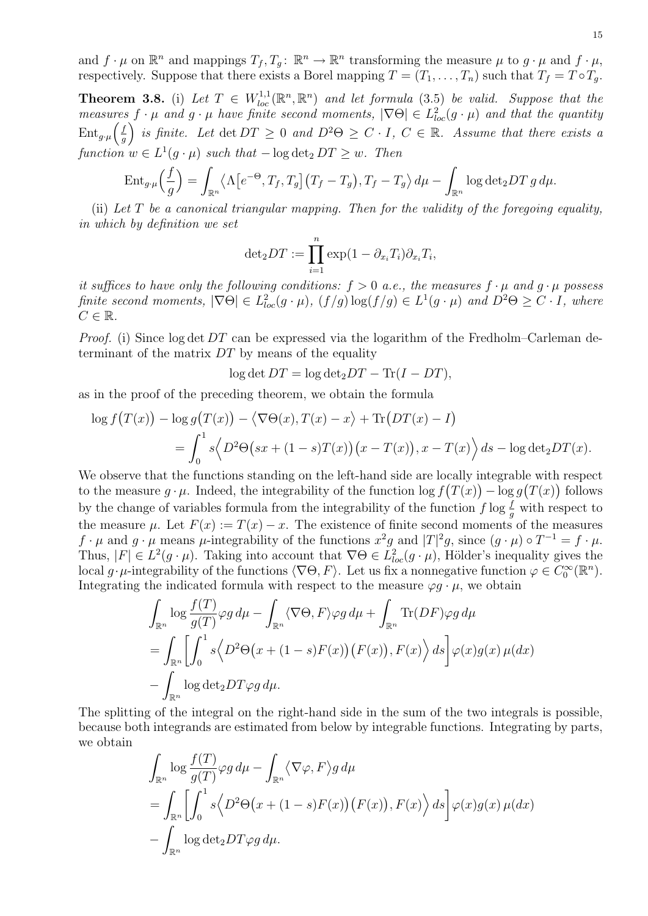and  $f \cdot \mu$  on  $\mathbb{R}^n$  and mappings  $T_f, T_g: \mathbb{R}^n \to \mathbb{R}^n$  transforming the measure  $\mu$  to  $g \cdot \mu$  and  $f \cdot \mu$ , respectively. Suppose that there exists a Borel mapping  $T = (T_1, \ldots, T_n)$  such that  $T_f = T \circ T_g$ .

**Theorem 3.8.** (i) Let  $T \in W_{loc}^{1,1}(\mathbb{R}^n, \mathbb{R}^n)$  and let formula (3.5) be valid. Suppose that the measures  $f \cdot \mu$  and  $g \cdot \mu$  have finite second moments,  $|\nabla \Theta| \in L^2_{loc}(g \cdot \mu)$  and that the quantity  $\text{Ent}_{g\cdot \mu}\Big(\frac{f}{g}\Big)$  $\left(\frac{f}{g}\right)$  is finite. Let  $\det DT \geq 0$  and  $D^2\Theta \geq C \cdot I$ ,  $C \in \mathbb{R}$ . Assume that there exists a function  $w \in L^1(g \cdot \mu)$  such that  $-\log \det_2 DT \geq w$ . Then

$$
\operatorname{Ent}_{g\cdot\mu}\left(\frac{f}{g}\right) = \int_{\mathbb{R}^n} \langle \Lambda\big[e^{-\Theta}, T_f, T_g\big](T_f - T_g), T_f - T_g \rangle d\mu - \int_{\mathbb{R}^n} \log \det_2 DT_g d\mu.
$$

(ii) Let  $T$  be a canonical triangular mapping. Then for the validity of the foregoing equality, in which by definition we set

$$
\det_2 DT := \prod_{i=1}^n \exp(1 - \partial_{x_i} T_i) \partial_{x_i} T_i,
$$

it suffices to have only the following conditions:  $f > 0$  a.e., the measures  $f \cdot \mu$  and  $g \cdot \mu$  possess finite second moments,  $|\nabla \Theta| \in L^2_{loc}(g \cdot \mu)$ ,  $(f/g) \log(f/g) \in L^1(g \cdot \mu)$  and  $D^2\Theta \geq C \cdot I$ , where  $C \in \mathbb{R}$ .

*Proof.* (i) Since  $\log \det DT$  can be expressed via the logarithm of the Fredholm–Carleman determinant of the matrix  $DT$  by means of the equality

 $\log \det DT = \log \det_2 DT - \text{Tr}(I - DT),$ 

as in the proof of the preceding theorem, we obtain the formula

$$
\log f(T(x)) - \log g(T(x)) - \langle \nabla \Theta(x), T(x) - x \rangle + \text{Tr}(DT(x) - I)
$$
  
= 
$$
\int_0^1 s \langle D^2 \Theta(sx + (1 - s)T(x))(x - T(x)), x - T(x) \rangle ds - \log \det_2 DT(x).
$$

We observe that the functions standing on the left-hand side are locally integrable with respect to the measure  $g \cdot \mu$ . Indeed, the integrability of the function  $\log f(T(x)) - \log g(T(x))$  follows by the change of variables formula from the integrability of the function  $f \log \frac{f}{g}$  with respect to the measure  $\mu$ . Let  $F(x) := T(x) - x$ . The existence of finite second moments of the measures  $f \cdot \mu$  and  $g \cdot \mu$  means  $\mu$ -integrability of the functions  $x^2g$  and  $|T|^2g$ , since  $(g \cdot \mu) \circ T^{-1} = f \cdot \mu$ . Thus,  $|F| \in L^2(g \cdot \mu)$ . Taking into account that  $\nabla \Theta \in L^2_{loc}(g \cdot \mu)$ , Hölder's inequality gives the local  $g \cdot \mu$ -integrability of the functions  $\langle \nabla \Theta, F \rangle$ . Let us fix a nonnegative function  $\varphi \in C_0^{\infty}(\mathbb{R}^n)$ . Integrating the indicated formula with respect to the measure  $\varphi g \cdot \mu$ , we obtain

$$
\int_{\mathbb{R}^n} \log \frac{f(T)}{g(T)} \varphi g \, d\mu - \int_{\mathbb{R}^n} \langle \nabla \Theta, F \rangle \varphi g \, d\mu + \int_{\mathbb{R}^n} \text{Tr}(DF) \varphi g \, d\mu
$$
\n
$$
= \int_{\mathbb{R}^n} \left[ \int_0^1 s \langle D^2 \Theta(x + (1 - s)F(x)) (F(x)), F(x) \rangle \, ds \right] \varphi(x) g(x) \, \mu(dx)
$$
\n
$$
- \int_{\mathbb{R}^n} \log \det_2 DT \varphi g \, d\mu.
$$

The splitting of the integral on the right-hand side in the sum of the two integrals is possible, because both integrands are estimated from below by integrable functions. Integrating by parts, we obtain

$$
\int_{\mathbb{R}^n} \log \frac{f(T)}{g(T)} \varphi g \, d\mu - \int_{\mathbb{R}^n} \langle \nabla \varphi, F \rangle g \, d\mu
$$
\n
$$
= \int_{\mathbb{R}^n} \left[ \int_0^1 s \langle D^2 \Theta(x + (1 - s)F(x)) (F(x)), F(x) \rangle \, ds \right] \varphi(x) g(x) \, \mu(dx)
$$
\n
$$
- \int_{\mathbb{R}^n} \log \det_2 DT \varphi g \, d\mu.
$$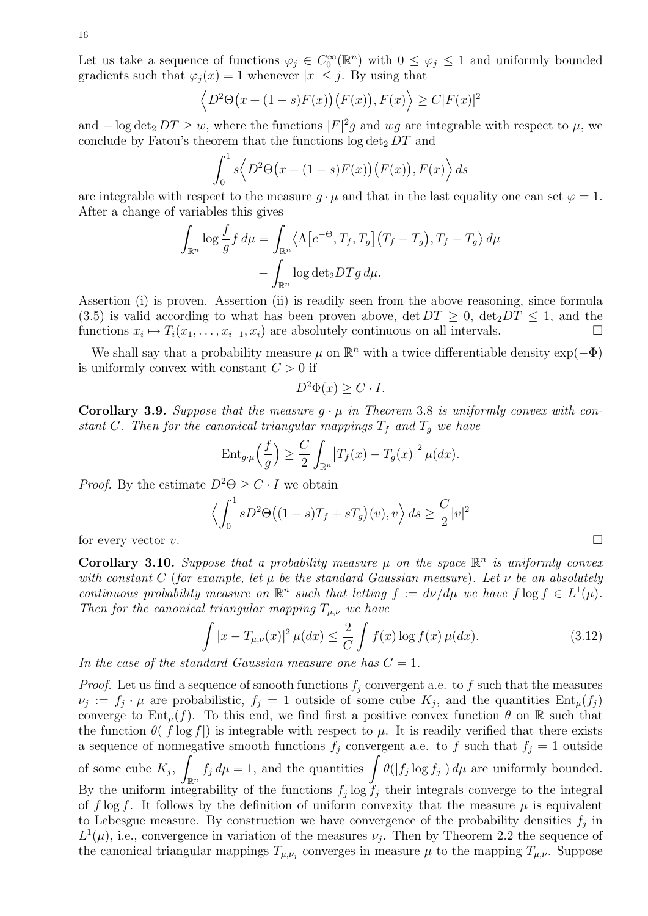Let us take a sequence of functions  $\varphi_j \in C_0^{\infty}(\mathbb{R}^n)$  with  $0 \leq \varphi_j \leq 1$  and uniformly bounded gradients such that  $\varphi_i(x) = 1$  whenever  $|x| \leq j$ . By using that

$$
\langle D^2\Theta(x+(1-s)F(x))(F(x)), F(x)\rangle \ge C|F(x)|^2
$$

and  $-\log \det_2 DT \geq w$ , where the functions  $|F|^2 g$  and wg are integrable with respect to  $\mu$ , we conclude by Fatou's theorem that the functions  $\log \det_2 DT$  and

$$
\int_0^1 s \langle D^2\Theta(x + (1-s)F(x)) (F(x)), F(x) \rangle ds
$$

are integrable with respect to the measure  $q \cdot \mu$  and that in the last equality one can set  $\varphi = 1$ . After a change of variables this gives

$$
\int_{\mathbb{R}^n} \log \frac{f}{g} f \, d\mu = \int_{\mathbb{R}^n} \langle \Lambda \left[ e^{-\Theta}, T_f, T_g \right] \left( T_f - T_g \right), T_f - T_g \rangle \, d\mu
$$

$$
- \int_{\mathbb{R}^n} \log \det_2 DTg \, d\mu.
$$

Assertion (i) is proven. Assertion (ii) is readily seen from the above reasoning, since formula (3.5) is valid according to what has been proven above,  $\det DT \geq 0$ ,  $\det_2 DT \leq 1$ , and the functions  $x_i \mapsto T_i(x_1, \ldots, x_{i-1}, x_i)$  are absolutely continuous on all intervals.

We shall say that a probability measure  $\mu$  on  $\mathbb{R}^n$  with a twice differentiable density  $\exp(-\Phi)$ is uniformly convex with constant  $C > 0$  if

$$
D^2\Phi(x) \ge C \cdot I.
$$

**Corollary 3.9.** Suppose that the measure  $q \cdot \mu$  in Theorem 3.8 is uniformly convex with constant C. Then for the canonical triangular mappings  $T_f$  and  $T_g$  we have

$$
\operatorname{Ent}_{g\cdot\mu}\left(\frac{f}{g}\right) \geq \frac{C}{2} \int_{\mathbb{R}^n} \left|T_f(x) - T_g(x)\right|^2 \mu(dx).
$$

*Proof.* By the estimate  $D^2\Theta \geq C \cdot I$  we obtain

$$
\left\langle \int_0^1 sD^2 \Theta((1-s)T_f + sT_g)(v), v \right\rangle ds \ge \frac{C}{2}|v|^2
$$
 for every vector v.

Corollary 3.10. Suppose that a probability measure  $\mu$  on the space  $\mathbb{R}^n$  is uniformly convex with constant C (for example, let  $\mu$  be the standard Gaussian measure). Let  $\nu$  be an absolutely continuous probability measure on  $\mathbb{R}^n$  such that letting  $f := d\nu/d\mu$  we have  $f \log f \in L^1(\mu)$ . Then for the canonical triangular mapping  $T_{\mu,\nu}$  we have

$$
\int |x - T_{\mu,\nu}(x)|^2 \,\mu(dx) \le \frac{2}{C} \int f(x) \log f(x) \,\mu(dx). \tag{3.12}
$$

In the case of the standard Gaussian measure one has  $C = 1$ .

*Proof.* Let us find a sequence of smooth functions  $f_j$  convergent a.e. to f such that the measures  $\nu_j := f_j \cdot \mu$  are probabilistic,  $f_j = 1$  outside of some cube  $K_j$ , and the quantities  $Ent_{\mu}(f_j)$ converge to  $Ent_u(f)$ . To this end, we find first a positive convex function  $\theta$  on R such that the function  $\theta(|f \log f|)$  is integrable with respect to  $\mu$ . It is readily verified that there exists a sequence of nonnegative smooth functions  $f_j$  convergent a.e. to f such that  $f_j = 1$  outside of some cube  $K_j$ ,  $\int_{\mathbb{R}^n} f_j d\mu = 1$ , and the quantities  $\int \theta(|f_j \log f_j|) d\mu$  are uniformly bounded. By the uniform integrability of the functions  $f_j \log f_j$  their integrals converge to the integral of f log f. It follows by the definition of uniform convexity that the measure  $\mu$  is equivalent to Lebesgue measure. By construction we have convergence of the probability densities  $f_j$  in  $L^1(\mu)$ , i.e., convergence in variation of the measures  $\nu_j$ . Then by Theorem 2.2 the sequence of the canonical triangular mappings  $T_{\mu,\nu_j}$  converges in measure  $\mu$  to the mapping  $T_{\mu,\nu}$ . Suppose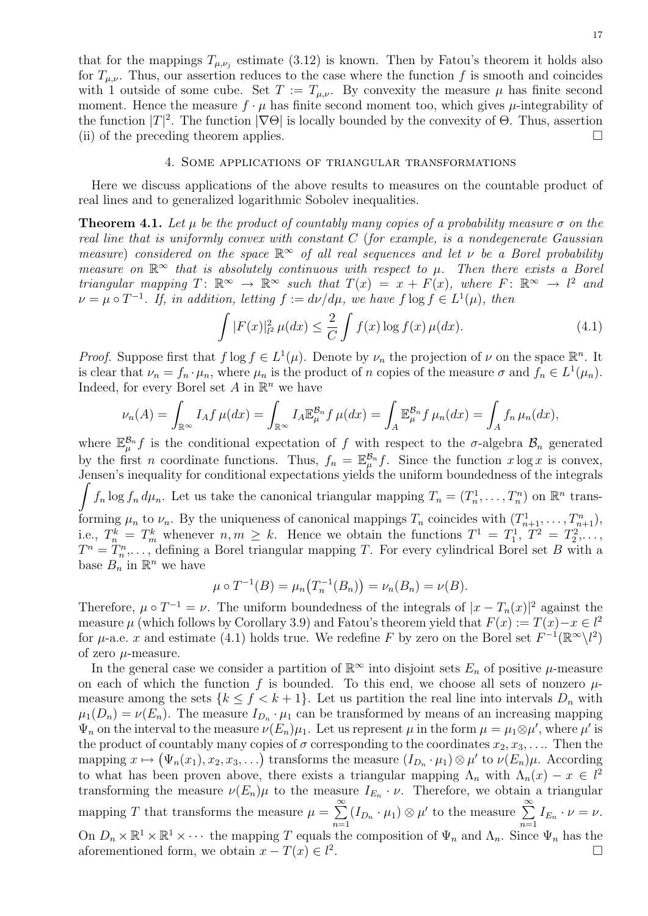that for the mappings  $T_{\mu,\nu_j}$  estimate (3.12) is known. Then by Fatou's theorem it holds also for  $T_{\mu,\nu}$ . Thus, our assertion reduces to the case where the function f is smooth and coincides with 1 outside of some cube. Set  $T := T_{\mu,\nu}$ . By convexity the measure  $\mu$  has finite second moment. Hence the measure  $f \cdot \mu$  has finite second moment too, which gives  $\mu$ -integrability of the function  $|T|^2$ . The function  $|\nabla \Theta|$  is locally bounded by the convexity of  $\Theta$ . Thus, assertion (ii) of the preceding theorem applies.  $\Box$ 

#### 4. Some applications of triangular transformations

Here we discuss applications of the above results to measures on the countable product of real lines and to generalized logarithmic Sobolev inequalities.

**Theorem 4.1.** Let  $\mu$  be the product of countably many copies of a probability measure  $\sigma$  on the real line that is uniformly convex with constant C (for example, is a nondegenerate Gaussian measure) considered on the space  $\mathbb{R}^{\infty}$  of all real sequences and let  $\nu$  be a Borel probability measure on  $\mathbb{R}^{\infty}$  that is absolutely continuous with respect to  $\mu$ . Then there exists a Borel triangular mapping  $T: \mathbb{R}^{\infty} \to \mathbb{R}^{\infty}$  such that  $T(x) = x + F(x)$ , where  $F: \mathbb{R}^{\infty} \to l^2$  and  $\nu = \mu \circ T^{-1}$ . If, in addition, letting  $f := d\nu/d\mu$ , we have  $f \log f \in L^1(\mu)$ , then

$$
\int |F(x)|_{l^2}^2 \,\mu(dx) \le \frac{2}{C} \int f(x) \log f(x) \,\mu(dx). \tag{4.1}
$$

*Proof.* Suppose first that  $f \log f \in L^1(\mu)$ . Denote by  $\nu_n$  the projection of  $\nu$  on the space  $\mathbb{R}^n$ . It is clear that  $\nu_n = f_n \cdot \mu_n$ , where  $\mu_n$  is the product of n copies of the measure  $\sigma$  and  $f_n \in L^1(\mu_n)$ . Indeed, for every Borel set  $A$  in  $\mathbb{R}^n$  we have

$$
\nu_n(A) = \int_{\mathbb{R}^\infty} I_A f \,\mu(dx) = \int_{\mathbb{R}^\infty} I_A \mathbb{E}_{\mu}^{\mathcal{B}_n} f \,\mu(dx) = \int_A \mathbb{E}_{\mu}^{\mathcal{B}_n} f \,\mu_n(dx) = \int_A f_n \,\mu_n(dx),
$$

where  $\mathbb{E}_{\mu}^{\beta_n} f$  is the conditional expectation of f with respect to the  $\sigma$ -algebra  $\mathcal{B}_n$  generated by the first *n* coordinate functions. Thus,  $f_n = \mathbb{E}_{\mu}^{\mathcal{B}_n} f$ . Since the function  $x \log x$  is convex, Jensen's inequality for conditional expectations yields the uniform boundedness of the integrals  $\int f_n \log f_n d\mu_n$ . Let us take the canonical triangular mapping  $T_n = (T_n^1, \ldots, T_n^n)$  on  $\mathbb{R}^n$  transforming  $\mu_n$  to  $\nu_n$ . By the uniqueness of canonical mappings  $T_n$  coincides with  $(T^1_{n+1}, \ldots, T^n_{n+1}),$ i.e.,  $T_n^k = T_m^k$  whenever  $n, m \geq k$ . Hence we obtain the functions  $T^1 = T_1^1, T^2 = T_2^2, \ldots$ ,  $T^n = T_n^n, \ldots$ , defining a Borel triangular mapping T. For every cylindrical Borel set B with a base  $B_n$  in  $\mathbb{R}^n$  we have

$$
\mu \circ T^{-1}(B) = \mu_n(T_n^{-1}(B_n)) = \nu_n(B_n) = \nu(B).
$$

Therefore,  $\mu \circ T^{-1} = \nu$ . The uniform boundedness of the integrals of  $|x - T_n(x)|^2$  against the measure  $\mu$  (which follows by Corollary 3.9) and Fatou's theorem yield that  $F(x) := T(x) - x \in l^2$ for  $\mu$ -a.e. x and estimate (4.1) holds true. We redefine F by zero on the Borel set  $F^{-1}(\mathbb{R}^{\infty}\setminus l^2)$ of zero  $\mu$ -measure.

In the general case we consider a partition of  $\mathbb{R}^{\infty}$  into disjoint sets  $E_n$  of positive  $\mu$ -measure on each of which the function f is bounded. To this end, we choose all sets of nonzero  $\mu$ measure among the sets  $\{k \leq f < k+1\}$ . Let us partition the real line into intervals  $D_n$  with  $\mu_1(D_n) = \nu(E_n)$ . The measure  $I_{D_n} \cdot \mu_1$  can be transformed by means of an increasing mapping  $\Psi_n$  on the interval to the measure  $\nu(E_n)\mu_1$ . Let us represent  $\mu$  in the form  $\mu = \mu_1 \otimes \mu'$ , where  $\mu'$  is the product of countably many copies of  $\sigma$  corresponding to the coordinates  $x_2, x_3, \ldots$ . Then the mapping  $x \mapsto (\Psi_n(x_1), x_2, x_3, \ldots)$  transforms the measure  $(I_{D_n} \cdot \mu_1) \otimes \mu'$  to  $\nu(E_n)\mu$ . According to what has been proven above, there exists a triangular mapping  $\Lambda_n$  with  $\Lambda_n(x) - x \in l^2$ transforming the measure  $\nu(E_n)\mu$  to the measure  $I_{E_n} \cdot \nu$ . Therefore, we obtain a triangular mapping T that transforms the measure  $\mu = \sum_{n=1}^{\infty}$  $\sum_{n=1}^{\infty} (I_{D_n} \cdot \mu_1) \otimes \mu'$  to the measure  $\sum_{n=1}^{\infty}$  $\sum_{n=1} I_{E_n} \cdot \nu = \nu.$ On  $D_n \times \mathbb{R}^1 \times \mathbb{R}^1 \times \cdots$  the mapping T equals the composition of  $\Psi_n$  and  $\Lambda_n$ . Since  $\Psi_n$  has the aforementioned form, we obtain  $x - T(x) \in l^2$ .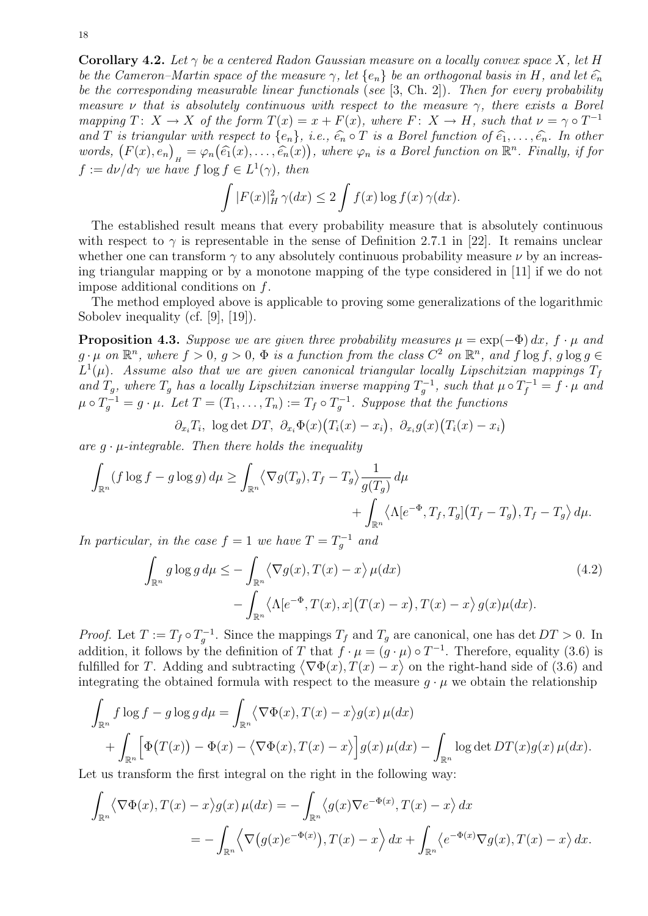**Corollary 4.2.** Let  $\gamma$  be a centered Radon Gaussian measure on a locally convex space X, let H be the Cameron–Martin space of the measure  $\gamma$ , let  $\{e_n\}$  be an orthogonal basis in H, and let  $\widehat{e_n}$ be the corresponding measurable linear functionals (see [3, Ch. 2]). Then for every probability measure  $\nu$  that is absolutely continuous with respect to the measure  $\gamma$ , there exists a Borel mapping  $T: X \to X$  of the form  $T(x) = x + F(x)$ , where  $F: X \to H$ , such that  $\nu = \gamma \circ T^{-1}$ and T is triangular with respect to  $\{e_n\}$ , i.e.,  $\widehat{e_n} \circ T$  is a Borel function of  $\widehat{e_1}, \ldots, \widehat{e_n}$ . In other words,  $(F(x), e_n)_H = \varphi_n(\widehat{e_1}(x), \ldots, \widehat{e_n}(x))$ , where  $\varphi_n$  is a Borel function on  $\mathbb{R}^n$ . Finally, if for  $f := d\nu/d\gamma$  we have  $f \log f \in L^1(\gamma)$ , then

$$
\int |F(x)|_H^2 \gamma(dx) \le 2 \int f(x) \log f(x) \gamma(dx).
$$

The established result means that every probability measure that is absolutely continuous with respect to  $\gamma$  is representable in the sense of Definition 2.7.1 in [22]. It remains unclear whether one can transform  $\gamma$  to any absolutely continuous probability measure  $\nu$  by an increasing triangular mapping or by a monotone mapping of the type considered in [11] if we do not impose additional conditions on f.

The method employed above is applicable to proving some generalizations of the logarithmic Sobolev inequality (cf. [9], [19]).

**Proposition 4.3.** Suppose we are given three probability measures  $\mu = \exp(-\Phi) dx$ ,  $f \cdot \mu$  and  $g \cdot \mu$  on  $\mathbb{R}^n$ , where  $f > 0$ ,  $g > 0$ ,  $\Phi$  is a function from the class  $C^2$  on  $\mathbb{R}^n$ , and  $f \log f$ ,  $g \log g \in$  $L^1(\mu)$ . Assume also that we are given canonical triangular locally Lipschitzian mappings  $T_f$ and  $T_g$ , where  $T_g$  has a locally Lipschitzian inverse mapping  $T_g^{-1}$ , such that  $\mu \circ T_f^{-1} = f \cdot \mu$  and  $\mu \circ T_g^{-1} = g \cdot \mu$ . Let  $T = (T_1, \ldots, T_n) := T_f \circ T_g^{-1}$ . Suppose that the functions

 $\partial_{x_i} T_i$ , log det DT,  $\partial_{x_i} \Phi(x) (T_i(x) - x_i)$ ,  $\partial_{x_i} g(x) (T_i(x) - x_i)$ 

are  $q \cdot \mu$ -integrable. Then there holds the inequality

$$
\int_{\mathbb{R}^n} (f \log f - g \log g) d\mu \ge \int_{\mathbb{R}^n} \langle \nabla g(T_g), T_f - T_g \rangle \frac{1}{g(T_g)} d\mu + \int_{\mathbb{R}^n} \langle \Lambda [e^{-\Phi}, T_f, T_g] (T_f - T_g), T_f - T_g \rangle d\mu.
$$

In particular, in the case  $f = 1$  we have  $T = T_g^{-1}$  and

$$
\int_{\mathbb{R}^n} g \log g \, d\mu \le - \int_{\mathbb{R}^n} \langle \nabla g(x), T(x) - x \rangle \, \mu(dx) \n- \int_{\mathbb{R}^n} \langle \Lambda[e^{-\Phi}, T(x), x] \big( T(x) - x \big), T(x) - x \rangle \, g(x) \mu(dx).
$$
\n(4.2)

*Proof.* Let  $T := T_f \circ T_g^{-1}$ . Since the mappings  $T_f$  and  $T_g$  are canonical, one has det  $DT > 0$ . In addition, it follows by the definition of T that  $f \cdot \mu = (g \cdot \mu) \circ T^{-1}$ . Therefore, equality (3.6) is fulfilled for T. Adding and subtracting  $\langle \nabla \Phi(x), T(x) - x \rangle$  on the right-hand side of (3.6) and integrating the obtained formula with respect to the measure  $q \cdot \mu$  we obtain the relationship

$$
\int_{\mathbb{R}^n} f \log f - g \log g \, d\mu = \int_{\mathbb{R}^n} \langle \nabla \Phi(x), T(x) - x \rangle g(x) \, \mu(dx) \n+ \int_{\mathbb{R}^n} \left[ \Phi(T(x)) - \Phi(x) - \langle \nabla \Phi(x), T(x) - x \rangle \right] g(x) \, \mu(dx) - \int_{\mathbb{R}^n} \log \det DT(x) g(x) \, \mu(dx).
$$

Let us transform the first integral on the right in the following way:

$$
\int_{\mathbb{R}^n} \langle \nabla \Phi(x), T(x) - x \rangle g(x) \,\mu(dx) = -\int_{\mathbb{R}^n} \langle g(x) \nabla e^{-\Phi(x)}, T(x) - x \rangle \, dx
$$
\n
$$
= -\int_{\mathbb{R}^n} \langle \nabla (g(x) e^{-\Phi(x)}), T(x) - x \rangle \, dx + \int_{\mathbb{R}^n} \langle e^{-\Phi(x)} \nabla g(x), T(x) - x \rangle \, dx.
$$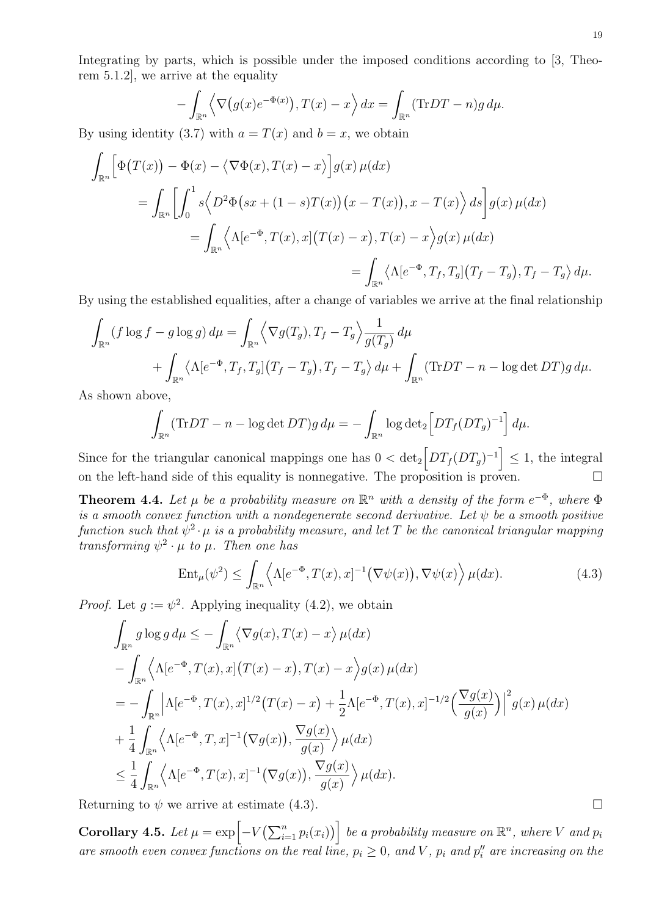Integrating by parts, which is possible under the imposed conditions according to [3, Theorem 5.1.2], we arrive at the equality

$$
-\int_{\mathbb{R}^n} \left\langle \nabla \left(g(x)e^{-\Phi(x)}\right), T(x) - x \right\rangle dx = \int_{\mathbb{R}^n} (\text{Tr}DT - n)g \, d\mu.
$$

By using identity (3.7) with  $a = T(x)$  and  $b = x$ , we obtain

$$
\int_{\mathbb{R}^n} \left[ \Phi(T(x)) - \Phi(x) - \langle \nabla \Phi(x), T(x) - x \rangle \right] g(x) \,\mu(dx)
$$
\n
$$
= \int_{\mathbb{R}^n} \left[ \int_0^1 s \langle D^2 \Phi(sx + (1 - s)T(x))(x - T(x)), x - T(x) \rangle \, ds \right] g(x) \,\mu(dx)
$$
\n
$$
= \int_{\mathbb{R}^n} \langle \Lambda[e^{-\Phi}, T(x), x](T(x) - x), T(x) - x \rangle g(x) \,\mu(dx)
$$
\n
$$
= \int_{\mathbb{R}^n} \langle \Lambda[e^{-\Phi}, T_f, T_g](T_f - T_g), T_f - T_g \rangle \, d\mu.
$$

By using the established equalities, after a change of variables we arrive at the final relationship

$$
\int_{\mathbb{R}^n} (f \log f - g \log g) d\mu = \int_{\mathbb{R}^n} \left\langle \nabla g(T_g), T_f - T_g \right\rangle \frac{1}{g(T_g)} d\mu \n+ \int_{\mathbb{R}^n} \left\langle \Lambda [e^{-\Phi}, T_f, T_g] \left( T_f - T_g \right), T_f - T_g \right\rangle d\mu + \int_{\mathbb{R}^n} (\text{Tr} DT - n - \log \det DT) g d\mu.
$$

As shown above,

$$
\int_{\mathbb{R}^n} (\text{Tr} DT - n - \log \det DT) g d\mu = - \int_{\mathbb{R}^n} \log \det_2 \left[ DT_f (DT_g)^{-1} \right] d\mu.
$$

Since for the triangular canonical mappings one has  $0 < det_2 \left[ DT_f(DT_g)^{-1} \right] \leq 1$ , the integral on the left-hand side of this equality is nonnegative. The proposition is proven.  $\Box$ 

**Theorem 4.4.** Let  $\mu$  be a probability measure on  $\mathbb{R}^n$  with a density of the form  $e^{-\Phi}$ , where  $\Phi$ is a smooth convex function with a nondegenerate second derivative. Let  $\psi$  be a smooth positive function such that  $\psi^2 \cdot \mu$  is a probability measure, and let T be the canonical triangular mapping transforming  $\psi^2 \cdot \mu$  to  $\mu$ . Then one has

$$
\operatorname{Ent}_{\mu}(\psi^2) \le \int_{\mathbb{R}^n} \left\langle \Lambda[e^{-\Phi}, T(x), x]^{-1} \left(\nabla \psi(x)\right), \nabla \psi(x) \right\rangle \mu(dx). \tag{4.3}
$$

*Proof.* Let  $g := \psi^2$ . Applying inequality (4.2), we obtain

$$
\int_{\mathbb{R}^n} g \log g \, d\mu \leq -\int_{\mathbb{R}^n} \langle \nabla g(x), T(x) - x \rangle \, \mu(dx)
$$
\n
$$
-\int_{\mathbb{R}^n} \langle \Lambda[e^{-\Phi}, T(x), x](T(x) - x), T(x) - x \rangle g(x) \, \mu(dx)
$$
\n
$$
= -\int_{\mathbb{R}^n} \left| \Lambda[e^{-\Phi}, T(x), x]^{1/2} (T(x) - x) + \frac{1}{2} \Lambda[e^{-\Phi}, T(x), x]^{-1/2} \left( \frac{\nabla g(x)}{g(x)} \right) \right|^2 g(x) \, \mu(dx)
$$
\n
$$
+ \frac{1}{4} \int_{\mathbb{R}^n} \langle \Lambda[e^{-\Phi}, T, x]^{-1} (\nabla g(x)), \frac{\nabla g(x)}{g(x)} \rangle \, \mu(dx)
$$
\n
$$
\leq \frac{1}{4} \int_{\mathbb{R}^n} \langle \Lambda[e^{-\Phi}, T(x), x]^{-1} (\nabla g(x)), \frac{\nabla g(x)}{g(x)} \rangle \, \mu(dx).
$$

Returning to  $\psi$  we arrive at estimate (4.3).

**Corollary 4.5.** Let  $\mu = \exp\left[-V\left(\sum_{i=1}^n p_i(x_i)\right)\right]$  be a probability measure on  $\mathbb{R}^n$ , where V and  $p_i$ are smooth even convex functions on the real line,  $p_i \geq 0$ , and V,  $p_i$  and  $p''_i$  are increasing on the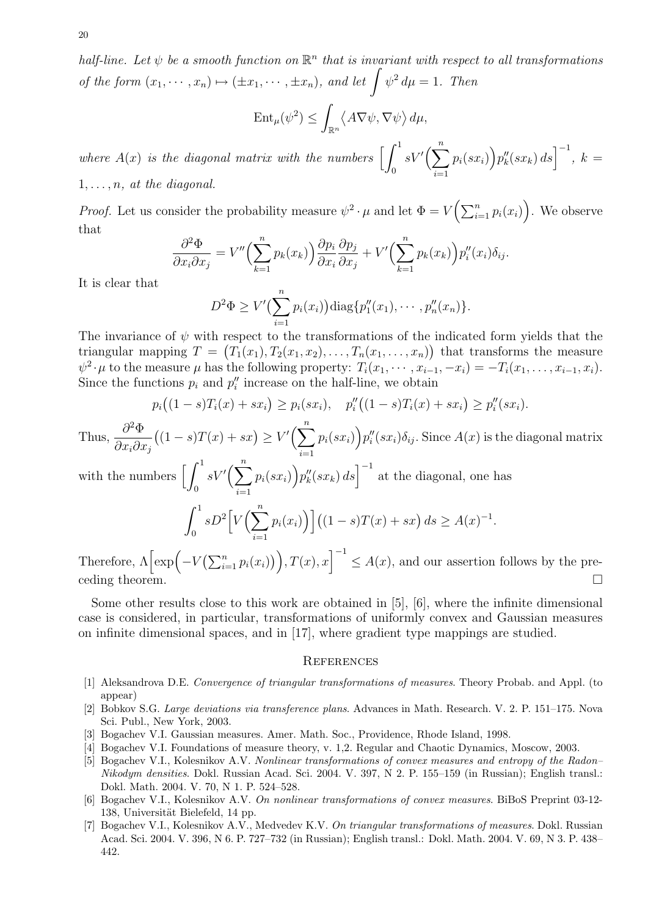20

half-line. Let  $\psi$  be a smooth function on  $\mathbb{R}^n$  that is invariant with respect to all transformations of the form  $(x_1, \dots, x_n) \mapsto (\pm x_1, \dots, \pm x_n)$ , and let  $\int \psi^2 d\mu = 1$ . Then

$$
\operatorname{Ent}_{\mu}(\psi^2) \le \int_{\mathbb{R}^n} \langle A \nabla \psi, \nabla \psi \rangle d\mu,
$$

where  $A(x)$  is the diagonal matrix with the numbers  $\left[\,\int^1$ 0  $sV'(\sum^n)$  $i=1$  $p_i(sx_i)$   $p''_k(sx_k) ds$   $^{-1}$ ,  $k =$  $1, \ldots, n$ , at the diagonal.

*Proof.* Let us consider the probability measure  $\psi^2 \cdot \mu$  and let  $\Phi = V\left(\sum_{i=1}^n p_i(x_i)\right)$ . We observe that

$$
\frac{\partial^2 \Phi}{\partial x_i \partial x_j} = V'' \Big( \sum_{k=1}^n p_k(x_k) \Big) \frac{\partial p_i}{\partial x_i} \frac{\partial p_j}{\partial x_j} + V' \Big( \sum_{k=1}^n p_k(x_k) \Big) p_i''(x_i) \delta_{ij}.
$$

It is clear that

$$
D^{2} \Phi \geq V'(\sum_{i=1}^{n} p_{i}(x_{i})) \operatorname{diag} \{p''_{1}(x_{1}), \cdots, p''_{n}(x_{n})\}.
$$

The invariance of  $\psi$  with respect to the transformations of the indicated form yields that the triangular mapping  $T = (T_1(x_1), T_2(x_1, x_2), \ldots, T_n(x_1, \ldots, x_n))$  that transforms the measure  $\psi^2 \cdot \mu$  to the measure  $\mu$  has the following property:  $T_i(x_1, \dots, x_{i-1}, -x_i) = -T_i(x_1, \dots, x_{i-1}, x_i)$ . Since the functions  $p_i$  and  $p''_i$  increase on the half-line, we obtain

$$
p_i((1-s)T_i(x) + sx_i) \ge p_i(sx_i), \quad p''_i((1-s)T_i(x) + sx_i) \ge p''_i(sx_i).
$$

Thus,  $\frac{\partial^2 \Phi}{\partial \rho^2}$  $\partial x_i\partial x_j$  $((1-s)T(x) + sx) \ge V'(\sum_{n=1}^{n}$  $i=1$  $p_i(sx_i)\big)p_i''(sx_i)\delta_{ij}.$  Since  $A(x)$  is the diagonal matrix

with the numbers  $\left\lceil \int_1^1 \right\rceil$  $\boldsymbol{0}$  $sV'(\sum^n)$  $i=1$  $p_i(sx_i)$   $p_k''(sx_k)$   $ds$   $\Big]^{-1}$  at the diagonal, one has

$$
\int_0^1 sD^2 \Big[ V\Big(\sum_{i=1}^n p_i(x_i)\Big) \Big] \big((1-s)T(x)+sx\big) ds \ge A(x)^{-1}.
$$

Therefore,  $\Lambda \left[\exp\left(-V\left(\sum_{i=1}^n p_i(x_i)\right)\right), T(x), x\right]^{-1} \leq A(x)$ , and our assertion follows by the pre- $\Box$  ceding theorem.

Some other results close to this work are obtained in [5], [6], where the infinite dimensional case is considered, in particular, transformations of uniformly convex and Gaussian measures on infinite dimensional spaces, and in [17], where gradient type mappings are studied.

### **REFERENCES**

- [1] Aleksandrova D.E. Convergence of triangular transformations of measures. Theory Probab. and Appl. (to appear)
- [2] Bobkov S.G. Large deviations via transference plans. Advances in Math. Research. V. 2. P. 151–175. Nova Sci. Publ., New York, 2003.
- [3] Bogachev V.I. Gaussian measures. Amer. Math. Soc., Providence, Rhode Island, 1998.
- [4] Bogachev V.I. Foundations of measure theory, v. 1,2. Regular and Chaotic Dynamics, Moscow, 2003.
- [5] Bogachev V.I., Kolesnikov A.V. Nonlinear transformations of convex measures and entropy of the Radon– Nikodym densities. Dokl. Russian Acad. Sci. 2004. V. 397, N 2. P. 155–159 (in Russian); English transl.: Dokl. Math. 2004. V. 70, N 1. P. 524–528.
- [6] Bogachev V.I., Kolesnikov A.V. On nonlinear transformations of convex measures. BiBoS Preprint 03-12- 138, Universität Bielefeld, 14 pp.
- [7] Bogachev V.I., Kolesnikov A.V., Medvedev K.V. On triangular transformations of measures. Dokl. Russian Acad. Sci. 2004. V. 396, N 6. P. 727–732 (in Russian); English transl.: Dokl. Math. 2004. V. 69, N 3. P. 438– 442.